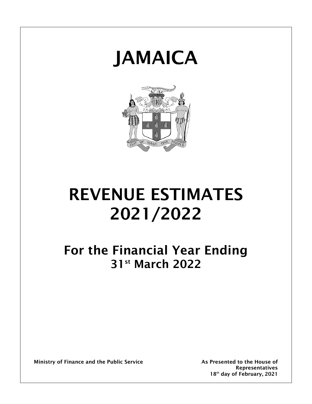



# **REVENUE ESTIMATES 2021/2022**

**For the Financial Year Ending 31st March 2022**

**Ministry of Finance and the Public Service As Presented to the House of**

**Representatives 18 th day of February, 2021**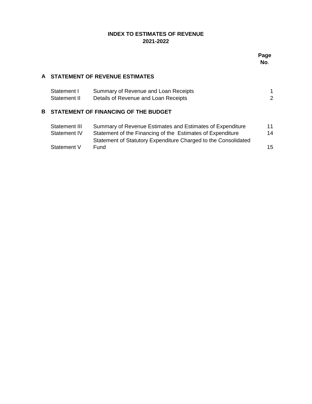# **INDEX TO ESTIMATES OF REVENUE 2021-2022**

# **A STATEMENT OF REVENUE ESTIMATES**

| Statement I  | Summary of Revenue and Loan Receipts |  |
|--------------|--------------------------------------|--|
| Statement II | Details of Revenue and Loan Receipts |  |

# **B STATEMENT OF FINANCING OF THE BUDGET**

| Statement III | Summary of Revenue Estimates and Estimates of Expenditure      | 11 |
|---------------|----------------------------------------------------------------|----|
| Statement IV  | Statement of the Financing of the Estimates of Expenditure     | 14 |
|               | Statement of Statutory Expenditure Charged to the Consolidated |    |
| Statement V   | Fund                                                           | 15 |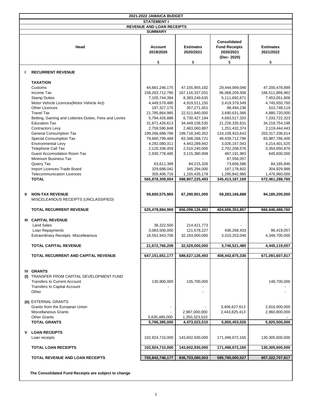|   | 2021-2022 JAMAICA BUDGET                                                                                                                     |                                 |                                 |                                                                        |                                |  |  |  |  |  |
|---|----------------------------------------------------------------------------------------------------------------------------------------------|---------------------------------|---------------------------------|------------------------------------------------------------------------|--------------------------------|--|--|--|--|--|
|   | <b>STATEMENT I</b>                                                                                                                           |                                 |                                 |                                                                        |                                |  |  |  |  |  |
|   | <b>REVENUE AND LOAN RECEIPTS</b>                                                                                                             |                                 |                                 |                                                                        |                                |  |  |  |  |  |
|   |                                                                                                                                              | <b>SUMMARY</b>                  |                                 |                                                                        |                                |  |  |  |  |  |
|   | Head                                                                                                                                         | <b>Account</b><br>2019/2020     | <b>Estimates</b><br>2020/2021   | <b>Consolidated</b><br><b>Fund Receipts</b><br>2020/2021<br>(Dec-2020) | <b>Estimates</b><br>2021/2022  |  |  |  |  |  |
|   |                                                                                                                                              | \$                              | \$                              | \$                                                                     | \$                             |  |  |  |  |  |
|   | <b>RECURRENT REVENUE</b>                                                                                                                     |                                 |                                 |                                                                        |                                |  |  |  |  |  |
|   | <b>TAXATION</b>                                                                                                                              |                                 |                                 |                                                                        |                                |  |  |  |  |  |
|   | Customs                                                                                                                                      | 44,681,246,175                  | 47, 155, 955, 182               | 29,444,069,046                                                         | 47,200,478,899                 |  |  |  |  |  |
|   | Income Tax                                                                                                                                   | 158,263,712,790                 | 167, 116, 337, 031              | 96,068,209,506                                                         | 166,511,866,962                |  |  |  |  |  |
|   | <b>Stamp Duties</b>                                                                                                                          | 7,105,744,394                   | 8,383,249,635                   | 5,111,692,671                                                          | 7,453,051,806                  |  |  |  |  |  |
|   | Motor Vehicle Licences (Motor Vehicle Act)                                                                                                   | 4,449,579,480                   | 4,919,511,150                   | 3,419,379,549                                                          | 4,745,650,760                  |  |  |  |  |  |
|   | <b>Other Licences</b>                                                                                                                        | 197,327,175                     | 357,271,451                     | 98,494,236                                                             | 610,748,119                    |  |  |  |  |  |
|   | <b>Travel Tax</b><br>Betting, Gaming and Lotteries-Duties, Fees and Levies                                                                   | 21,785,864,985<br>5,794,426,888 | 22,511,840,000<br>6,730,427,194 | 3,690,631,566<br>4,693,517,320                                         | 4,880,720,000<br>7,333,722,323 |  |  |  |  |  |
|   | <b>Education Tax</b>                                                                                                                         | 31,871,426,613                  | 34,449,108,535                  | 21,226,335,631                                                         | 34,219,754,198                 |  |  |  |  |  |
|   | Contractors Levy                                                                                                                             | 2,759,590,848                   | 2,463,060,887                   | 1,251,432,374                                                          | 2,119,444,443                  |  |  |  |  |  |
|   | <b>General Consumption Tax</b>                                                                                                               | 199,266,688,786                 | 199,718,340,352                 | 124,109,910,643                                                        | 203,317,336,614                |  |  |  |  |  |
|   | Special Consumption Tax                                                                                                                      | 79,660,799,468                  | 83,348,268,721                  | 48,439,712,796                                                         | 83,987,786,400                 |  |  |  |  |  |
|   | <b>Environmental Levy</b>                                                                                                                    | 4,292,080,311                   | 4,443,289,942                   | 3,026,167,043                                                          | 4,214,401,525                  |  |  |  |  |  |
|   | <b>Telephone Call Tax</b>                                                                                                                    | 2,120,336,459                   | 2,510,240,000                   | 2,702,208,576                                                          | 3,354,650,876                  |  |  |  |  |  |
|   | Guest Accomodation Room Tax                                                                                                                  | 2,930,778,485                   | 3,115,380,908                   | 487,191,983                                                            | 645,600,000                    |  |  |  |  |  |
|   | Minimum Business Tax                                                                                                                         |                                 |                                 | 87,556,057                                                             |                                |  |  |  |  |  |
|   | Quarry Tax                                                                                                                                   | 63,611,389                      | 84,215,326                      | 73,656,586                                                             | 84,185,846                     |  |  |  |  |  |
|   | Import Licences-Trade Board                                                                                                                  | 329,688,042                     | 345,294,000                     | 187, 178, 602                                                          | 304,929,988                    |  |  |  |  |  |
|   | <b>Telecommunication Licences</b>                                                                                                            | 305,406,716                     | 1,155,435,179                   | 1,295,842,985                                                          | 1,476,960,000                  |  |  |  |  |  |
|   | <b>TOTAL</b>                                                                                                                                 | 565,878,309,004                 | 588,807,225,493                 | 345,413,187,169                                                        | 572,461,288,760                |  |  |  |  |  |
| Ш | <b>NON-TAX REVENUE</b><br>MISCELEANOUS RECEIPTS (UNCLASSIFIED)                                                                               | 59,600,575,965                  | 67,290,901,000                  | 59,283,166,688                                                         | 94,185,200,000                 |  |  |  |  |  |
|   | <b>TOTAL RECURRENT REVENUE</b>                                                                                                               | 625,478,884,969                 | 656,098,126,493                 | 404,696,353,857                                                        | 666,646,488,760                |  |  |  |  |  |
|   |                                                                                                                                              |                                 |                                 |                                                                        |                                |  |  |  |  |  |
|   | <b>III CAPITAL REVENUE</b>                                                                                                                   |                                 |                                 |                                                                        |                                |  |  |  |  |  |
|   | <b>Land Sales</b>                                                                                                                            | 36,322,500                      | 214,421,773                     |                                                                        |                                |  |  |  |  |  |
|   | Loan Repayments                                                                                                                              | 3,083,500,000                   | 121,578,227                     | 436,268,433                                                            | 96,419,057                     |  |  |  |  |  |
|   | Extraordinary Receipts: Miscelleanous                                                                                                        | 18,552,943,708                  | 32,193,000,000                  | 3,310,253,046                                                          | 4,348,700,000                  |  |  |  |  |  |
|   | <b>TOTAL CAPITAL REVENUE</b>                                                                                                                 | 21,672,766,208                  | 32,529,000,000                  | 3,746,521,480                                                          | 4,445,119,057                  |  |  |  |  |  |
|   |                                                                                                                                              |                                 |                                 |                                                                        |                                |  |  |  |  |  |
|   | <b>TOTAL RECURRENT AND CAPITAL REVENUE</b>                                                                                                   | 647, 151, 651, 177              | 688,627,126,493                 | 408,442,875,336                                                        | 671,091,607,817                |  |  |  |  |  |
|   | <b>IV GRANTS</b><br>(I) TRANSFER FROM CAPITAL DEVELOPMENT FUND<br><b>Transfers to Current Account</b><br><b>Transfers to Capital Account</b> | 130,900,000                     | 135,700,000                     |                                                                        | 148,700,000                    |  |  |  |  |  |
|   | Other                                                                                                                                        |                                 |                                 |                                                                        |                                |  |  |  |  |  |
|   | (II) EXTERNAL GRANTS                                                                                                                         |                                 |                                 |                                                                        |                                |  |  |  |  |  |
|   | Grants from the European Union                                                                                                               |                                 |                                 | 3,406,627,613                                                          | 2,816,000,000                  |  |  |  |  |  |
|   | <b>Miscellaneous Grants</b>                                                                                                                  |                                 | 2,987,000,000                   | 2,443,825,413                                                          | 2,960,800,000                  |  |  |  |  |  |
|   | <b>Other Grants</b>                                                                                                                          | 5,635,485,000                   | 1,350,323,510                   |                                                                        |                                |  |  |  |  |  |
|   | <b>TOTAL GRANTS</b>                                                                                                                          | 5,766,385,000                   | 4,473,023,510                   | 5,850,453,026                                                          | 5,925,500,000                  |  |  |  |  |  |
| v | <b>LOAN RECEIPTS</b><br>Loan receipts                                                                                                        | 102,924,710,000                 | 143,602,930,000                 | 171,496,672,165                                                        | 130,305,600,000                |  |  |  |  |  |
|   | <b>TOTAL LOAN RECEIPTS</b>                                                                                                                   | 102,924,710,000                 | 143,602,930,000                 | 171,496,672,165                                                        | 130,305,600,000                |  |  |  |  |  |
|   |                                                                                                                                              |                                 |                                 |                                                                        |                                |  |  |  |  |  |
|   | <b>TOTAL REVENUE AND LOAN RECEIPTS</b>                                                                                                       | 755,842,746,177                 | 836,703,080,003                 | 585,790,000,527                                                        | 807,322,707,817                |  |  |  |  |  |

**The Consolidated Fund Receipts are subject to change**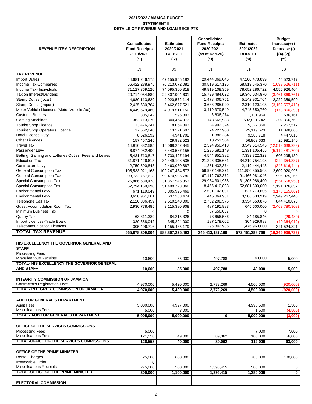|                                                       |                      |                   | <b>Consolidated</b>  |                        | <b>Budget</b>       |
|-------------------------------------------------------|----------------------|-------------------|----------------------|------------------------|---------------------|
|                                                       | Consolidated         | <b>Estimates</b>  | <b>Fund Receipts</b> | <b>Estimates</b>       | Increase $(+)$ /    |
| <b>REVENUE ITEM DESCRIPTION</b>                       | <b>Fund Receipts</b> | 2020/2021         | 2020/2021            | 2021/2022              | Decrease (-)        |
|                                                       |                      |                   |                      |                        |                     |
|                                                       | 2019/2020            | <b>BUDGET</b>     | (as at Dec-20)       | <b>BUDGET</b>          | $[(4)-(2)]$         |
|                                                       | (1)                  | (2)               | (3)                  | (4)                    | (5)                 |
|                                                       | J\$                  | J\$               | J\$                  | J\$                    | J\$                 |
| <b>TAX REVENUE</b>                                    |                      |                   |                      |                        |                     |
| <b>Import Duties</b>                                  | 44,681,246,175       | 47, 155, 955, 182 | 29,444,069,046       | 47,200,478,899         | 44,523,717          |
|                                                       |                      |                   |                      |                        |                     |
| Income Tax-Companies                                  | 66,422,288,975       | 70,213,072,081    | 30,519,617,126       | 68,513,545,370         | (1,699,526,711)     |
| Income Tax- Individuals                               | 71,127,369,126       | 74,095,360,318    | 49,819,108,359       | 78,652,286,722         | 4,556,926,404       |
| Tax on Interest/Dividend                              | 20,714,054,689       | 22,807,904,631    | 15,729,484,022       | 19,346,034,870         | (3,461,869,761)     |
| Stamp Duties (local)                                  | 4,680,113,629        | 2,920,572,114     | 1,478,406,751        | 5,142,931,704          | 2,222,359,590       |
| Stamp Duties (import)                                 | 2,425,630,764        | 5,462,677,521     | 3,633,285,920        | 2,310,120,103          | (3, 152, 557, 418)  |
| Motor Vehicle Licences (Motor Vehicle Act)            | 4,449,579,480        | 4,919,511,150     | 3,419,379,549        | 4,745,650,760          | (173,860,390)       |
| <b>Customs Brokers</b>                                | 305,042              | 595,803           | 6,636,274            | 1,131,964              | 536,161             |
| <b>Gaming Machines</b>                                | 362,713,070          | 300,464,973       | 148,565,938          | 502,821,742            | 202,356,769         |
| <b>Tourist Shop Licence</b>                           | 13,476,247           | 8,064,843         | 4,992,324            | 15,322,360             | 7,257,517           |
| <b>Tourist Shop Operators Licence</b>                 | 17,562,048           | 13,221,607        | 74,727,900           | 25,119,673             | 11,898,066          |
| <b>Hotel Licence Duty</b>                             |                      |                   |                      |                        |                     |
|                                                       | 8,526,592            | 4,941,702         | 1,886,234            | 9,388,718              | 4,447,016           |
| <b>Other Licences</b>                                 | 157,457,245          | 29,982,523        | 10,251,504           | 56,963,663             | 26,981,140          |
| <b>Travel Tax</b>                                     | 14,910,882,585       | 16,068,252,845    | 2,394,950,418        | 3,549,614,545          | (12,518,638,299)    |
| Passenger Levy                                        | 6,874,982,400        | 6,443,587,155     | 1,295,681,149        | 1,331,105,455          | (5, 112, 481, 700)  |
| Betting, Gaming and Lotteries-Duties, Fees and Levies | 5,431,713,817        | 6,730,427,194     | 4,544,951,382        | 7,333,722,323          | 603,295,130         |
| <b>Education Tax</b>                                  | 31,871,426,613       | 34,449,108,535    | 21,226,335,631       | 34,219,754,198         | (229, 354, 337)     |
| Contractors Levy                                      | 2,759,590,848        | 2,463,060,887     | 1,251,432,374        | 2,119,444,443          | (343, 616, 444)     |
| <b>General Consumption Tax</b>                        | 105,533,921,168      | 109,247,434,573   | 56,997,148,271       | 111,850,355,568        | 2,602,920,995       |
| <b>General Consumption Tax</b>                        | 93,732,767,618       | 90,470,905,780    | 67,112,762,372       | 91,466,981,046         | 996,075,266         |
| Special Consumption Tax                               | 26,866,639,478       | 31,857,545,353    | 29,984,301,988       | 31,305,986,400         | (551, 558, 953)     |
| Special Consumption Tax                               |                      |                   | 18,455,410,808       | 52,681,800,000         | 1,191,076,632       |
|                                                       | 52,794,159,990       | 51,490,723,368    |                      |                        |                     |
| <b>Environmental Levy</b>                             | 671,119,049          | 3,805,926,469     | 2,581,102,091        | 627,770,606            | (3, 178, 155, 862)  |
| <b>Environmental Levy</b>                             | 3,620,961,261        | 637, 363, 474     | 445,064,951          | 3,586,630,919          | 2,949,267,445       |
| <b>Telephone Call Tax</b>                             | 2,120,336,459        | 2,510,240,000     | 2,702,208,576        | 3,354,650,876          | 844,410,876         |
| <b>Guest Accomodation Room Tax</b>                    | 2,930,778,485        | 3,115,380,908     | 487,191,983          | 645,600,000            | (2,469,780,908)     |
| Minimum Business Tax                                  | $\mathbf 0$          | $\Omega$          | 87,556,057           | $\Omega$               | $\Omega$            |
| Quarry Tax                                            | 63,611,389           | 84,215,326        | 73,656,586           | 84,185,846             | (29, 480)           |
| Import Licences-Trade Board                           | 329,688,042          | 345,294,000       | 187, 178, 602        | 304,929,988            | (40, 364, 012)      |
| <b>Telecommunication Licences</b>                     | 305,406,716          | 1,155,435,179     | 1,295,842,985        | 1,476,960,000          | 321,524,821         |
| <b>TOTAL TAX REVENUE</b>                              | 565,878,309,004      | 588,807,225,493   | 345,413,187,169      | 572,461,288,760        | (16, 345, 936, 733) |
|                                                       |                      |                   |                      |                        |                     |
| HIS EXCELLENCY THE GOVERNOR GENERAL AND               |                      |                   |                      |                        |                     |
| <b>STAFF</b>                                          |                      |                   |                      |                        |                     |
| <b>Processing Fees</b>                                |                      |                   |                      |                        |                     |
| Miscelleanous Receipts                                | 10,600               | 35,000            | 497,788              | 40.000                 | 5,000               |
| TOTAL- HIS EXCELLENCY THE GOVERNOR GENERAL            |                      |                   |                      |                        |                     |
| <b>AND STAFF</b>                                      | 10,600               | 35,000            | 497,788              | 40,000                 | 5,000               |
|                                                       |                      |                   |                      |                        |                     |
| <b>INTEGRITY COMMISSION OF JAMAICA</b>                |                      |                   |                      |                        | $\mathbf 0$         |
| <b>Contractor's Registration Fees</b>                 | 4,970,000            | 5,420,000         | 2,772,269            | 4,500,000              | (920,000)           |
| TOTAL- INTEGRITY COMMISSION OF JAMAICA                | 4,970,000            | 5,420,000         | 2,772,269            | 4,500,000              | (920,000)           |
|                                                       |                      |                   |                      |                        |                     |
|                                                       |                      |                   |                      |                        |                     |
| <b>AUDITOR GENERAL'S DEPARTMENT</b>                   |                      |                   |                      |                        |                     |
| <b>Audit Fees</b>                                     | 5,000,000            | 4.997.000         |                      | 4,998,500              | 1,500               |
| <b>Miscelleanous Fees</b>                             | 5,000                | 3,000             |                      | 1,500                  | (4,500)             |
| TOTAL- AUDITOR GENERAL'S DEPARTMENT                   | 5,005,000            | 5,000,000         | 0                    | $\overline{5,000,000}$ | (3,000)             |
|                                                       |                      |                   |                      |                        |                     |
| OFFICE OF THE SERVICES COMMISSIONS                    |                      |                   |                      |                        |                     |
| <b>Processing Fees</b>                                | 5,000                |                   |                      | 7,000                  | 7,000               |
| <b>Miscelleanous Fees</b>                             | 121,558              | 49,000            | 89,062               | 105,000                | 56,000              |
| <b>TOTAL-OFFICE OF THE SERVICES COMMISSIONS</b>       | 126,558              | 49,000            | 89,062               | 112,000                | 63,000              |
|                                                       |                      |                   |                      |                        |                     |
| OFFICE OF THE PRIME MINISTER                          |                      |                   |                      |                        |                     |
| <b>Rental Charges</b>                                 | 25,000               | 600,000           |                      | 780,000                | 180,000             |
| Irrevocable Order                                     | 0                    |                   |                      |                        |                     |
| <b>Miscelleanous Receipts</b>                         | 275,000              | 500,000           | 1,396,415            | 500,000                | 0                   |
| <b>TOTAL-OFFICE OF THE PRIME MINISTER</b>             | 300,000              | 1,100,000         | 1,396,415            | 1,280,000              | $\mathbf 0$         |
|                                                       |                      |                   |                      |                        |                     |
| <b>ELECTORAL COMMISSION</b>                           |                      |                   |                      |                        |                     |
|                                                       |                      |                   |                      |                        |                     |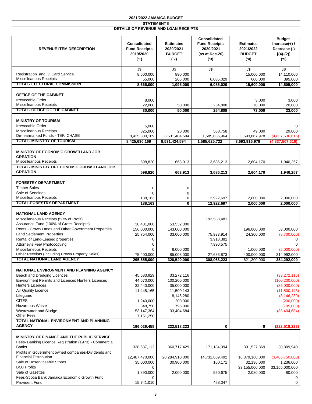|                                                                                      | <b>Consolidated</b>                      | <b>Estimates</b>                   | Consolidated<br><b>Fund Receipts</b> | <b>Estimates</b>                  | <b>Budget</b><br>Increase $(+)$ /  |
|--------------------------------------------------------------------------------------|------------------------------------------|------------------------------------|--------------------------------------|-----------------------------------|------------------------------------|
| <b>REVENUE ITEM DESCRIPTION</b>                                                      | <b>Fund Receipts</b><br>2019/2020<br>(1) | 2020/2021<br><b>BUDGET</b><br>('2) | 2020/2021<br>(as at Dec-20)<br>(3)   | 2021/2022<br><b>BUDGET</b><br>(4) | Decrease (-)<br>$[(4)-(2)]$<br>(5) |
|                                                                                      | J\$                                      | J\$                                | J\$                                  | J\$                               | J\$                                |
| Registration and ID Card Service                                                     | 8,600,000                                | 890,000                            |                                      | 15,000,000                        | 14,110,000                         |
| <b>Miscelleanous Receipts</b>                                                        | 65,000                                   | 205,000                            | 6,085,029                            | 600,000                           | 395,000                            |
| <b>TOTAL- ELECTORAL COMMISSION</b>                                                   | 8,665,000                                | 1.095.000                          | 6,085,029                            | 15,600,000                        | 14,505,000                         |
| OFFICE OF THE CABINET                                                                |                                          |                                    |                                      |                                   |                                    |
| Irrevocable Order                                                                    | 8,000                                    |                                    |                                      | 3,000                             | 3,000                              |
| Miscelleanous Receipts                                                               | 22,000                                   | 50,000                             | 254,808                              | 70,000                            | 20,000                             |
| <b>TOTAL- OFFICE OF THE CABINET</b>                                                  | 30,000                                   | 50,000                             | 254,808                              | 73,000                            | 23,000                             |
| <b>MINISTRY OF TOURISM</b>                                                           |                                          |                                    |                                      |                                   |                                    |
| Irrevocable Order                                                                    | 5,000                                    |                                    |                                      |                                   | 0                                  |
| <b>Miscelleanous Receipts</b>                                                        | 325,000                                  | 20,000                             | 588,758                              | 49,000                            | 29,000                             |
| De- earmarked Funds - TEF/ CHASE                                                     | 8,425,300,169                            | 8,531,404,594                      | 1,585,036,964                        | 3,693,867,978                     | (4,837,536,616)                    |
| TOTAL- MINISTRY OF TOURISM                                                           | 8,425,630,169                            | 8,531,424,594                      | 1,585,625,722                        | 3,693,916,978                     | (4,837,507,616)                    |
| <b>MINISTRY OF ECONOMIC GROWTH AND JOB</b>                                           |                                          |                                    |                                      |                                   |                                    |
| <b>CREATION</b><br><b>Miscelleanous Receipts</b>                                     | 598,820                                  | 663,913                            | 3,686,213                            | 2,604,170                         | 1,940,257                          |
| TOTAL- MINISTRY OF ECONOMIC GROWTH AND JOB                                           |                                          |                                    |                                      |                                   |                                    |
| <b>CREATION</b>                                                                      | 598,820                                  | 663,913                            | 3,686,213                            | 2,604,170                         | 1,940,257                          |
| <b>FORESTRY DEPARTMENT</b>                                                           |                                          |                                    |                                      |                                   |                                    |
| <b>Timber Sales</b>                                                                  | 0                                        | 0                                  |                                      |                                   |                                    |
| Sale of Seedings                                                                     | $\Omega$                                 | 0                                  |                                      |                                   |                                    |
| <b>Miscelleanous Receipts</b>                                                        | 188,163                                  | $\mathbf 0$                        | 12,922,697                           | 2,000,000                         | 2,000,000                          |
| TOTAL-FORESTRY DEPARTMENT                                                            | 188,163                                  | 0                                  | 12,922,697                           | 2,000,000                         | 2,000,000                          |
|                                                                                      |                                          |                                    |                                      |                                   |                                    |
| <b>NATIONAL LAND AGENCY</b><br>Miscellaneous Receipts (50% of Profit)                |                                          |                                    | 192,538,481                          |                                   |                                    |
| Assurance Fund (100% of Gross Receipts)                                              | 38,401,000                               | 53,532,000                         |                                      |                                   |                                    |
| Rents - Crown Lands and Other Government Properties                                  | 156,000,000                              | 143,000,000                        |                                      | 196,000,000                       | 53,000,000                         |
| <b>Land Settlement Properties</b>                                                    | 25,754,000                               | 33,000,000                         | 75,933,914                           | 24,300,000                        | (8,700,000)                        |
| Rental of Land-Leased properties                                                     | 0                                        |                                    | 3,918,381                            |                                   | $\Omega$                           |
| Attorney's Fee/ Photocopying                                                         | $\mathbf 0$                              |                                    | 7,990,575                            |                                   |                                    |
| Miscellaneous Receipts<br>Other Receipts (Including Crown Property Sales)            | $\Omega$                                 | 6,000,000                          |                                      | 1,000,000                         | (5,000,000)                        |
| <b>TOTAL NATIONAL LAND AGENCY</b>                                                    | 75,400,000<br>295,555,000                | 85,008,000<br>320.540.000          | 27,686,873<br>308,068,223            | 400,000,000<br>621,300,000        | 314,992,000<br>354,292,000         |
|                                                                                      |                                          |                                    |                                      |                                   |                                    |
| NATIONAL ENVIRONMENT AND PLANNING AGENCY                                             |                                          |                                    |                                      |                                   |                                    |
| Beach and Dredging Licences                                                          | 45,583,929                               | 33,272,116                         |                                      |                                   | (33, 272, 116)                     |
| <b>Environment Permits and Licences Hunters Licences</b>                             | 44,670,000                               | 100,200,000                        |                                      |                                   | (100, 200, 000)                    |
| <b>Hunters Licences</b>                                                              | 32,440,000                               | 35,000,000                         |                                      |                                   | (35,000,000)                       |
| <b>Air Quality Licence</b><br>Lifeguard                                              | 11,448,165                               | 11,500,143<br>8,146,280            |                                      |                                   | (11,500,143)<br>(8, 146, 280)      |
| <b>CITES</b>                                                                         | 1,240,000                                | 200,000                            |                                      |                                   | (200,000)                          |
| Hazardous Waste                                                                      | 348,750                                  | 795,000                            |                                      |                                   | (795,000)                          |
| Wastewater and Sludge                                                                | 53,147,364                               | 33,404,684                         |                                      |                                   | (33, 404, 684)                     |
| <b>Other Fees</b>                                                                    | 7,151,250                                |                                    |                                      |                                   |                                    |
| TOTAL NATIONAL ENVIRONMENT AND PLANNING<br><b>AGENCY</b>                             | 196,029,458                              | 222,518,223                        | 0                                    | 0                                 | (222, 518, 223)                    |
|                                                                                      |                                          |                                    |                                      |                                   |                                    |
| MINISTRY OF FINANCE AND THE PUBLIC SERVICE                                           |                                          |                                    |                                      |                                   |                                    |
| Fees- Banking Licence Registration (1973) - Commercial                               |                                          |                                    |                                      |                                   |                                    |
| Banks                                                                                | 338,637,112                              | 360,717,429                        | 171,184,094                          | 391,527,369                       | 30,809,940                         |
| Profits in Government owned companies-Dividends and<br><b>Financial Distribution</b> | 12,487,470,000                           | 20,284,910,000                     | 14,731,669,492                       | 16,879,160,000                    | (3,405,750,000)                    |
| Sale of Unserviceable Stores                                                         | 35,000,000                               | 30,900,000                         | 160,171                              | 32,136,000                        | 1,236,000                          |
| <b>BOJ Profits</b>                                                                   | 0                                        |                                    |                                      | 33,155,000,000                    | 33,155,000,000                     |
| Sale of Gazettes                                                                     | 1,890,000                                | 2,000,000                          | 550,675                              | 2,080,000                         | 80,000                             |
| Fees-Scotia Bank Jamaica Economic Growth Fund                                        | $\Omega$                                 |                                    |                                      |                                   | $\Omega$                           |
| <b>Provident Fund</b>                                                                | 15,741,010                               |                                    | 458,347                              |                                   | $\mathbf 0$                        |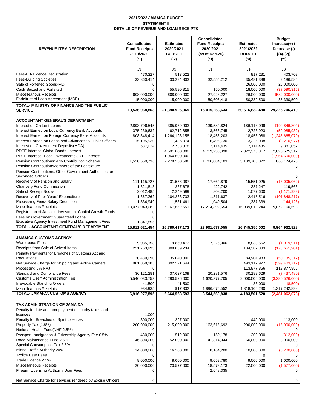| <b>REVENUE ITEM DESCRIPTION</b>                                                                   | Consolidated<br><b>Fund Receipts</b><br>2019/2020<br>(1) | <b>Estimates</b><br>2020/2021<br><b>BUDGET</b><br>('2) | <b>Consolidated</b><br><b>Fund Receipts</b><br>2020/2021<br>(as at Dec-20)<br>(3) | <b>Estimates</b><br>2021/2022<br><b>BUDGET</b><br>(4) | <b>Budget</b><br>Increase $(+)$ /<br>Decrease (-)<br>$[(4)-(2)]$<br>(5) |
|---------------------------------------------------------------------------------------------------|----------------------------------------------------------|--------------------------------------------------------|-----------------------------------------------------------------------------------|-------------------------------------------------------|-------------------------------------------------------------------------|
|                                                                                                   | J\$                                                      | J\$                                                    | J\$                                                                               | J\$                                                   | J\$                                                                     |
| Fees-FIA Licence Registration                                                                     | 470,327                                                  | 513,522                                                |                                                                                   | 917,231                                               | 403,709                                                                 |
| <b>Fees-Building Societies</b>                                                                    | 33,860,414                                               | 33,294,803                                             | 32,554,212                                                                        | 35,481,388                                            | 2,186,585                                                               |
| Sale of Forfeited Goods-FID                                                                       | 0                                                        |                                                        |                                                                                   | 26,000,000                                            | 26,000,000                                                              |
| Cash Seized and Forfeited                                                                         | $\Omega$                                                 | 55,590,315                                             | 150,000                                                                           | 18,000,000                                            | (37,590,315)                                                            |
| <b>Miscelleanous Receipts</b>                                                                     | 608,000,000                                              | 608,000,000                                            | 27,923,227                                                                        | 26,000,000                                            | (582,000,000)                                                           |
| Forfeiture of Loan Agreement (MDB)                                                                | 15,000,000                                               | 15,000,000                                             | 50,608,418                                                                        | 50,330,500                                            | 35,330,500                                                              |
| TOTAL- MINISTRY OF FINANCE AND THE PUBLIC                                                         |                                                          |                                                        |                                                                                   |                                                       |                                                                         |
| <b>SERVICE</b>                                                                                    | 13,536,068,863                                           | 21,390,926,069                                         | 15,015,258,634                                                                    | 50,616,632,488                                        | 29,225,706,419                                                          |
|                                                                                                   |                                                          |                                                        |                                                                                   |                                                       |                                                                         |
| <b>ACCOUNTANT GENERAL'S DEPARTMENT</b>                                                            |                                                          |                                                        |                                                                                   |                                                       |                                                                         |
| Interest on On Lent Loans                                                                         | 2,893,706,545                                            | 385,959,903                                            | 139,584,824                                                                       | 186,113,099                                           | (199, 846, 804)                                                         |
| Interest Earned on Local Currency Bank Accounts                                                   | 375,239,632                                              | 62,712,855                                             | 3,568,745                                                                         | 2,726,923                                             | (59,985,932)                                                            |
| Interest Earned on Foreign Currency Bank Accounts                                                 | 808,848,414                                              | 1,264,123,158                                          | 18,458,203                                                                        | 18,458,088                                            | (1, 245, 665, 070)                                                      |
| Interest Earned on Loans and Advances to Public Officers                                          | 15,195,930                                               | 11,436,074                                             | 6,495,730                                                                         | 3,225,098                                             | (8,210,977)                                                             |
| Interest on Government Deposits (MDA)                                                             | 637,024                                                  | 2,733,378                                              | 12,114,435                                                                        | 12,114,435                                            | 9,381,057                                                               |
| PDCF Interest -Global Bonds Interest                                                              |                                                          | 4,501,800,000                                          | 4,719,230,398                                                                     | 7,322,375,317                                         | 2,820,575,317                                                           |
| PDCF Interest - Local Investments JUTC Interest                                                   |                                                          | 1,964,600,000                                          |                                                                                   |                                                       | (1,964,600,000)                                                         |
| Pension Contributions: 4 % Contribution Scheme                                                    | 1,520,650,736                                            | 2,279,530,596                                          | 1,766,084,103                                                                     | 3,139,705,072                                         | 860,174,476                                                             |
| Pension Contribution: Members of the Legislature                                                  |                                                          |                                                        |                                                                                   |                                                       | $\Omega$                                                                |
| Pension Contributions: Other Government Authorities for                                           |                                                          |                                                        |                                                                                   |                                                       |                                                                         |
| <b>Seconded Officers</b>                                                                          |                                                          |                                                        |                                                                                   |                                                       | $\Omega$                                                                |
| Recovery of Pension and Salary                                                                    | 111,115,727                                              | 31,556,087                                             | 17,664,879                                                                        | 15,551,025                                            | (16,005,062)                                                            |
| <b>Chancery Fund Commission</b>                                                                   |                                                          |                                                        |                                                                                   |                                                       |                                                                         |
|                                                                                                   | 1,821,813                                                | 267,678                                                | 422,742                                                                           | 387,247                                               | 119,568                                                                 |
| Sale of Receipt Books                                                                             | 2,012,485                                                | 2,249,599                                              | 808,200                                                                           | 1,077,600                                             | (1, 171, 999)                                                           |
| Recovery of Prior Years' Expenditure                                                              | 1,667,262                                                | 104,263,733                                            | 1,811,637                                                                         | 2,415,516                                             | (101, 848, 217)                                                         |
| Processing Fees- Salary Deduction                                                                 | 1,834,949                                                | 1,531,461                                              | 1,040,504                                                                         | 1,387,339                                             | (144, 123)                                                              |
| Miscelleanous Receipts                                                                            | 10,077,043,082                                           | 6,167,652,651                                          | 17,214,392,654                                                                    | 16,039,813,244                                        | 9,872,160,593                                                           |
| Registration of Jamaica Investment Capital Growth Funds                                           | 0                                                        |                                                        |                                                                                   |                                                       |                                                                         |
| Fees on Government Guaranteed Loans                                                               | 0                                                        |                                                        |                                                                                   |                                                       |                                                                         |
| Executive Agency Investment Fund Management Fees<br><b>TOTAL- ACCOUNTANT GENERAL'S DEPARTMENT</b> | 1,847,855                                                |                                                        |                                                                                   |                                                       |                                                                         |
|                                                                                                   | 15,811,621,454                                           | 16,780,417,173                                         | 23,901,677,055                                                                    | 26,745,350,002                                        | 9,964,932,828                                                           |
| <b>JAMAICA CUSTOMS AGENCY</b>                                                                     |                                                          |                                                        |                                                                                   |                                                       |                                                                         |
| <b>Warehouse Fees</b>                                                                             |                                                          |                                                        |                                                                                   |                                                       |                                                                         |
|                                                                                                   | 9,085,158                                                | 9,850,473                                              | 7,225,006                                                                         | 8,830,562                                             | (1,019,911)                                                             |
| Receipts from Sale of Seized Items                                                                | 221,763,993                                              | 308,039,234                                            |                                                                                   | 134,387,333                                           | (173, 651, 901)                                                         |
| Penalty Payments for Breaches of Customs Act and                                                  |                                                          |                                                        |                                                                                   |                                                       |                                                                         |
| Regulations                                                                                       | 120,439,090                                              | 135,040,300                                            |                                                                                   | 84,904,983                                            | (50, 135, 317)                                                          |
| Net Service Charge for Shipping and Airline Carriers                                              | 981,858,185                                              | 892,521,644                                            |                                                                                   | 493,117,927                                           | (399, 403, 717)                                                         |
| Processing 5% PAJ                                                                                 | $\Omega$                                                 |                                                        |                                                                                   | 113,877,856                                           | 113,877,856                                                             |
| <b>Standard and Compliance Fees</b>                                                               | 36,121,281                                               | 37,627,109                                             | 20,281,576                                                                        | 30,189,629                                            | (7, 437, 480)                                                           |
| Customs User/ Administration Fee                                                                  | 5,546,033,753                                            | 5,280,526,000                                          | 1,620,377,705                                                                     | 2,000,000,000                                         | (3,280,526,000)                                                         |
| <b>Irrevocable Standing Orders</b>                                                                | 41,500                                                   | 41,500                                                 |                                                                                   | 33,000                                                | (8,500)                                                                 |
| <b>Miscelleanous Receipts</b>                                                                     | 934,935                                                  | 917,332                                                | 1,896,676,552                                                                     | 1,318,160,230                                         | 1,317,242,898                                                           |
| <b>TOTAL- JAMAICA CUSTOMS AGENCY</b>                                                              | 6,916,277,895                                            | 6,664,563,593                                          | 3,544,560,838                                                                     | 4,183,501,520                                         | (2,481,062,073)                                                         |
|                                                                                                   |                                                          |                                                        |                                                                                   |                                                       |                                                                         |
| TAX ADMINISTRATION OF JAMAICA                                                                     |                                                          |                                                        |                                                                                   |                                                       |                                                                         |
| Penalty for late and non-payment of sundry taxes and                                              |                                                          |                                                        |                                                                                   |                                                       |                                                                         |
| licences                                                                                          | 1,000                                                    |                                                        |                                                                                   |                                                       |                                                                         |
| Penalty for Breaches of Spirit Licences                                                           | 300,000                                                  | 327,000                                                |                                                                                   | 440,000                                               | 113,000                                                                 |
| Property Tax (2.5%)                                                                               | 200,000,000                                              | 215,000,000                                            | 163,615,692                                                                       | 200,000,000                                           | (15,000,000)                                                            |
| National Health Fund(NHF 2.5%)                                                                    | 0                                                        |                                                        |                                                                                   |                                                       | $\Omega$                                                                |
| Passport Immigration & Citizenship Agency Fee 0.5%                                                | 480,000                                                  | 512,000                                                | 159,178                                                                           | 200,000                                               | (312,000)                                                               |
| Road Maintenance Fund 2.5%                                                                        | 46,800,000                                               | 52,000,000                                             | 41,314,044                                                                        | 60,000,000                                            | 8,000,000                                                               |
| Special Consumption Tax 2.5%                                                                      | 0                                                        |                                                        |                                                                                   |                                                       |                                                                         |
| Island Traffic Authority 20%                                                                      | 14,000,000                                               | 16,200,000                                             | 8,164,200                                                                         | 10,000,000                                            | (6,200,000)                                                             |
| Police User Fees                                                                                  | 0                                                        |                                                        |                                                                                   | 0                                                     |                                                                         |
| Trade Licence 2.5%                                                                                | 9,000,000                                                | 8,000,000                                              | 9,059,780                                                                         | 9,000,000                                             | 1,000,000                                                               |
| <b>Miscellaneous Receipts</b>                                                                     | 20,000,000                                               | 23,577,000                                             | 18,573,173                                                                        | 22,000,000                                            | (1,577,000)                                                             |
| Firearm Licensing Authority User Fees                                                             | 0                                                        |                                                        | 2,648,335                                                                         |                                                       | 0                                                                       |
|                                                                                                   |                                                          |                                                        |                                                                                   |                                                       |                                                                         |
| Net Service Charge for services rendered by Excise Officers                                       | 0                                                        |                                                        |                                                                                   |                                                       | 0                                                                       |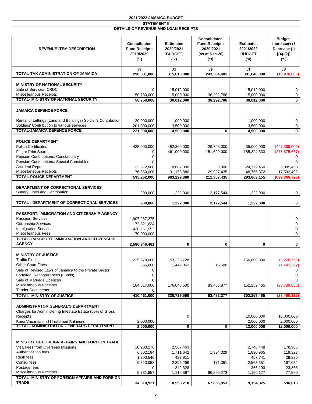| <b>REVENUE ITEM DESCRIPTION</b>                                                                                                                                                                                                                              | Consolidated<br><b>Fund Receipts</b><br>2019/2020<br>(1)                   | <b>Estimates</b><br>2020/2021<br><b>BUDGET</b><br>('2)    | Consolidated<br><b>Fund Receipts</b><br>2020/2021<br>(as at Dec-20)<br>(3) | <b>Estimates</b><br>2021/2022<br><b>BUDGET</b><br>(4)     | <b>Budget</b><br>Increase $(+)$ /<br>Decrease (-)<br>$[(4)-(2)]$<br>(5) |
|--------------------------------------------------------------------------------------------------------------------------------------------------------------------------------------------------------------------------------------------------------------|----------------------------------------------------------------------------|-----------------------------------------------------------|----------------------------------------------------------------------------|-----------------------------------------------------------|-------------------------------------------------------------------------|
| TOTAL-TAX ADMINISTRATION OF JAMAICA                                                                                                                                                                                                                          | J\$<br>290,581,000                                                         | J\$<br>315,616,000                                        | J\$<br>243,534,401                                                         | J\$<br>301,640,000                                        | J\$<br>(13,976,000)                                                     |
| <b>MINISTRY OF NATIONAL SECURITY</b><br>Sale of Services- CRDC<br><b>Miscelleanous Receipts</b><br>TOTAL- MINISTRY OF NATIONAL SECURITY                                                                                                                      | $\mathbf 0$<br>50,750,000                                                  | 15,012,000<br>15,000,000                                  | 36,292,786                                                                 | 15,012,000<br>15,000,000                                  | 0<br>0                                                                  |
|                                                                                                                                                                                                                                                              | 50,750,000                                                                 | 30,012,000                                                | 36,292,786                                                                 | 30,012,000                                                | $\mathbf{0}$                                                            |
| <b>JAMAICA DEFENCE FORCE</b>                                                                                                                                                                                                                                 |                                                                            |                                                           |                                                                            |                                                           |                                                                         |
| Rental of Lettings (Land and Buildings) Soldier's Contribution<br>Soldiers' Contribution to various services                                                                                                                                                 | 20,000,000<br>201,000,000                                                  | 1,000,000<br>3,500,000                                    |                                                                            | 1,000,000<br>3,500,000                                    | 0<br>0                                                                  |
| <b>TOTAL-JAMAICA DEFENCE FORCE</b>                                                                                                                                                                                                                           | 221,000,000                                                                | 4,500,000                                                 | $\bf{0}$                                                                   | 4,500,000                                                 | $\mathbf 0$                                                             |
| <b>POLICE DEPARTMENT</b><br><b>Police Certificates</b><br><b>Finger Print Search</b><br>Pension Contributions: Constabulary<br>Pension Contributions: Special Constables<br><b>Accident Report</b><br>Miscellaneous Receipts                                 | 425,000,000<br>0<br>$\Omega$<br>$\Omega$<br>33,612,000<br>76,650,000       | 482,369,000<br>461,000,000<br>18,687,000                  | 29,748,000<br>151,629,000<br>3,000                                         | 35,000,000<br>185,324,333<br>24,772,450                   | (447, 369, 000)<br>(275, 675, 667)<br>$\Omega$<br>6,085,450             |
| <b>TOTAL-POLICE DEPARTMENT</b>                                                                                                                                                                                                                               | 535,262,000                                                                | 31,173,880<br>993,229,880                                 | 29,927,435<br>211,307,435                                                  | 48,766,372<br>293,863,155                                 | 17,592,492<br>(699, 366, 725)                                           |
| DEPARTMENT OF CORRECTIONAL SERVICES<br>Sundry Fines and Contribution                                                                                                                                                                                         | 900,000                                                                    | 1,222,000                                                 | 2,177,544                                                                  | 1,222,000                                                 | 0                                                                       |
| TOTAL - DEPARTMENT OF CORRECTIONAL SERVICES                                                                                                                                                                                                                  | 900,000                                                                    | 1,222,000                                                 | 2,177,544                                                                  | 1,222,000                                                 | 0                                                                       |
| PASSPORT, IMMIGRATION AND CITIZENSHIP AGENCY<br><b>Passport Services</b><br><b>Citizenship Services</b><br><b>Immigration Services</b><br><b>Miscelleanous Fees</b><br><b>TOTAL- PASSPORT, IMMIGRATION AND CITIZENSHIP</b>                                   | 1,907,267,275<br>72,821,634<br>436,251,552<br>170,000,000                  |                                                           |                                                                            |                                                           | 0<br>0<br>0<br>$\mathbf 0$                                              |
| <b>AGENCY</b>                                                                                                                                                                                                                                                | 2,586,340,461                                                              | 0                                                         | 0                                                                          | $\bf{0}$                                                  | 0                                                                       |
| <b>MINISTRY OF JUSTICE</b><br><b>Traffic Fines</b><br><b>Other Court Fines</b><br>Sale of Revised Laws of Jamaica to the Private Sector<br>Forfeited Recognizances (Funds)<br>Sale of Marriage Licences<br>Miscellaneous Receipts<br><b>Tender Documents</b> | 225,578,000<br>366,000<br>$\Omega$<br>0<br>0<br>184,517,000<br>0           | 153,228,728<br>1,442,362<br>176,048,500                   | 16,500<br>83,465,877                                                       | 150,000,000<br>152,259,465                                | (3,228,728)<br>(1,442,362)<br>$\Omega$<br>(23,789,035)                  |
| <b>TOTAL- MINISTRY OF JUSTICE</b>                                                                                                                                                                                                                            | 410,461,000                                                                | 330,719,590                                               | 83,482,377                                                                 | 302,259,465                                               | (28, 460, 125)                                                          |
| <b>ADMINISTRATOR GENERAL'S DEPARTMENT</b><br>Charges for Administering Intestate Estate (50% of Gross<br>Receipts)<br>Bona Vacantia and Unclaimed Balances<br>TOTAL- ADMINISTRATOR GENERAL'S DEPARTMENT                                                      | 2,000,000                                                                  | 0                                                         |                                                                            | 10,000,000<br>2,000,000                                   | 10,000,000<br>2,000,000                                                 |
|                                                                                                                                                                                                                                                              | 2,000,000                                                                  | 0                                                         | 0                                                                          | 12,000,000                                                | 12,000,000                                                              |
| <b>MINISTRY OF FOREIGN AFFAIRS AND FOREIGN TRADE</b><br>Visa Fees from Overseas Missions<br>Authentication fees<br>Rush fees<br>Consul fees<br>Postage fees<br>Miscellaneous Receipts                                                                        | 10,203,276<br>6,802,184<br>1,700,546<br>9,523,058<br>$\Omega$<br>5,781,857 | 2,567,463<br>1,711,642<br>427,911<br>2,396,299<br>342,328 | 1,394,329<br>171,351<br>66,290,273                                         | 2,746,448<br>1,830,965<br>457,741<br>2,563,351<br>366,193 | 178,985<br>119,323<br>29,830<br>167,052<br>23,865<br>77,560             |
| TOTAL- MINISTRY OF FOREIGN AFFAIRS AND FOREIGN                                                                                                                                                                                                               |                                                                            | 1,112,567                                                 |                                                                            | 1,190,127                                                 |                                                                         |
| <b>TRADE</b>                                                                                                                                                                                                                                                 | 34,010,921                                                                 | 8,558,210                                                 | 67,855,953                                                                 | 9,154,825                                                 | 596,615                                                                 |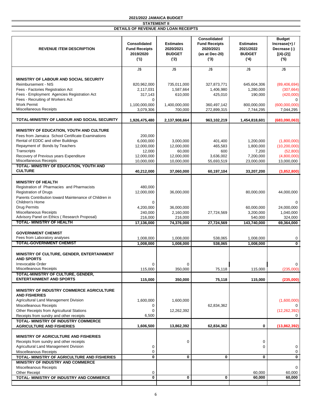|                                                                                         | Consolidated<br><b>Budget</b>                            |                                                        |                                                            |                                                       |                                                        |
|-----------------------------------------------------------------------------------------|----------------------------------------------------------|--------------------------------------------------------|------------------------------------------------------------|-------------------------------------------------------|--------------------------------------------------------|
| <b>REVENUE ITEM DESCRIPTION</b>                                                         | Consolidated<br><b>Fund Receipts</b><br>2019/2020<br>(1) | <b>Estimates</b><br>2020/2021<br><b>BUDGET</b><br>('2) | <b>Fund Receipts</b><br>2020/2021<br>(as at Dec-20)<br>(3) | <b>Estimates</b><br>2021/2022<br><b>BUDGET</b><br>(4) | Increase $(+)$ /<br>Decrease (-)<br>$[(4)-(2)]$<br>(5) |
|                                                                                         | J\$                                                      | J\$                                                    | J\$                                                        | J\$                                                   | J\$                                                    |
| <b>MINISTRY OF LABOUR AND SOCIAL SECURITY</b>                                           |                                                          |                                                        |                                                            |                                                       |                                                        |
| Reimbursement - NIS                                                                     | 820,962,000                                              | 735,011,000                                            | 327,873,771                                                | 645,604,306                                           | (89, 406, 694)                                         |
| Fees - Factories Registration Act                                                       | 2,117,031                                                | 1,587,664                                              | 1,406,980                                                  | 1,280,000                                             | (307, 664)                                             |
| Fees - Employment Agencies Registration Act<br>Fees - Recruiting of Workers Act         | 317,143<br>$\mathbf 0$                                   | 610,000                                                | 425,010                                                    | 190,000                                               | (420,000)<br>$\Omega$                                  |
| <b>Work Permit</b><br>Miscellaneous Receipts                                            | 1,100,000,000                                            | 1,400,000,000                                          | 360,497,142                                                | 800,000,000                                           | (600,000,000)                                          |
|                                                                                         | 3,079,306                                                | 700,000                                                | 272,899,315                                                | 7,744,295                                             | 7,044,295                                              |
| TOTAL-MINISTRY OF LABOUR AND SOCIAL SECURITY                                            | 1,926,475,480                                            | 2,137,908,664                                          | 963,102,219                                                | 1,454,818,601                                         | (683,090,063)                                          |
| MINISTRY OF EDUCATION, YOUTH AND CULTURE                                                |                                                          |                                                        |                                                            |                                                       |                                                        |
| Fees from Jamaica School Certificate Examinations                                       | 200,000                                                  |                                                        |                                                            |                                                       |                                                        |
| Rental of EDDC and other Buildings<br>Repayment of Bonds by Teachers                    | 6,000,000                                                | 3,000,000                                              | 401,400<br>465,583                                         | 1,200,000                                             | (1,800,000)<br>(10, 200, 000)                          |
| Transcripts                                                                             | 12,000,000<br>12,000                                     | 12,000,000<br>60,000                                   | 600                                                        | 1,800,000<br>7,200                                    | (52,800)                                               |
| Recovery of Previous years Expenditure                                                  | 12,000,000                                               | 12,000,000                                             | 3,636,002                                                  | 7,200,000                                             | (4,800,000)                                            |
| Miscellaneous Receipts                                                                  | 10,000,000                                               | 10,000,000                                             | 55,693,519                                                 | 23,000,000                                            | 13,000,000                                             |
| TOTAL- MINISTRY OF EDUCATION, YOUTH AND<br><b>CULTURE</b>                               | 40,212,000                                               | 37,060,000                                             | 60,197,104                                                 | 33,207,200                                            | (3,852,800)                                            |
|                                                                                         |                                                          |                                                        |                                                            |                                                       |                                                        |
| <b>MINISTRY OF HEALTH</b>                                                               |                                                          |                                                        |                                                            |                                                       |                                                        |
| Registration of Pharmacies and Pharmacists<br><b>Registration of Drugs</b>              | 480,000<br>12,000,000                                    | 36,000,000                                             |                                                            | 80,000,000                                            | 44,000,000                                             |
| Parents Contribution toward Maintenance of Children in                                  |                                                          |                                                        |                                                            |                                                       |                                                        |
| Children's Home                                                                         | $\mathbf 0$                                              |                                                        |                                                            |                                                       | $\Omega$                                               |
| <b>Drug Permits</b>                                                                     | 4,200,000                                                | 36,000,000                                             |                                                            | 60,000,000                                            | 24,000,000                                             |
| Miscellaneous Receipts<br>Advisory Panel on Ethics (Research Proposal)                  | 240,000                                                  | 2,160,000                                              | 27,724,569                                                 | 3,200,000                                             | 1,040,000                                              |
| <b>TOTAL- MINISTRY OF HEALTH</b>                                                        | 216,000<br>17,136,000                                    | 216,000<br>74,376,000                                  | 27,724,569                                                 | 540,000<br>143,740,000                                | 324,000<br>69,364,000                                  |
|                                                                                         |                                                          |                                                        |                                                            |                                                       |                                                        |
| <b>GOVERNMENT CHEMIST</b>                                                               |                                                          |                                                        |                                                            |                                                       |                                                        |
| Fees from Laboratory analyses<br><b>TOTAL-GOVERNMENT CHEMIST</b>                        | 1,008,000<br>1,008,000                                   | 1,008,000                                              | 538,065<br>538,065                                         | 1,008,000                                             | 0<br>$\mathbf{0}$                                      |
|                                                                                         |                                                          | 1,008,000                                              |                                                            | 1,008,000                                             |                                                        |
| MINISTRY OF CULTURE, GENDER, ENTERTAINMENT<br><b>AND SPORTS</b>                         |                                                          |                                                        |                                                            |                                                       |                                                        |
| Irrevocable Order<br>Miscelleanous Receipts                                             | 0                                                        | 0                                                      |                                                            |                                                       | 0                                                      |
| TOTAL-MINISTRY OF CULTURE, GENDER,                                                      | 115,000                                                  | 350,000                                                | 75,118                                                     | 115,000                                               | (235,000)                                              |
| <b>ENTERTAINMENT AND SPORTS</b>                                                         | 115,000                                                  | 350,000                                                | 75,118                                                     | 115,000                                               | (235,000)                                              |
| <b>MINISTRY OF INDUSTRY COMMERCE AGRICULTURE</b><br><b>AND FISHERIES</b>                |                                                          |                                                        |                                                            |                                                       |                                                        |
| Agricultural Land Management Division                                                   | 1,600,000                                                | 1,600,000                                              |                                                            |                                                       | (1,600,000)                                            |
| <b>Miscelleanous Receipts</b>                                                           | 0                                                        |                                                        | 62,834,362                                                 |                                                       |                                                        |
| Other Receipts from Agricultural Stations                                               | 0<br>6,500                                               | 12,262,392                                             |                                                            |                                                       | (12, 262, 392)<br>0                                    |
| Receipts from sundry and other receipts<br><b>TOTAL- MINISTRY OF INDUSTRY COMMERCE</b>  |                                                          |                                                        |                                                            |                                                       |                                                        |
| <b>AGRICULTURE AND FISHERIES</b>                                                        | 1,606,500                                                | 13,862,392                                             | 62,834,362                                                 | 0                                                     | (13,862,392)                                           |
|                                                                                         |                                                          |                                                        |                                                            |                                                       |                                                        |
| <b>MINISTRY OF AGRICULTURE AND FISHERIES</b><br>Receipts from sundry and other receipts |                                                          | 0                                                      |                                                            | 0                                                     |                                                        |
| Agricultural Land Management Division                                                   | 0                                                        |                                                        |                                                            | 0                                                     | 0                                                      |
| <b>Miscelleanous Receipts</b>                                                           | 0                                                        |                                                        |                                                            |                                                       | 0                                                      |
| TOTAL- MINISTRY OF AGRICULTURE AND FISHERIES                                            | 0                                                        | 0                                                      | 0                                                          | $\mathbf 0$                                           | 0                                                      |
| MINISTRY OF INDUSTRY AND COMMERCE<br>Miscelleanous Receipts                             |                                                          |                                                        |                                                            |                                                       | 0                                                      |
| <b>Other Receipt</b>                                                                    | 0                                                        |                                                        |                                                            | 60,000                                                | 60,000                                                 |
| TOTAL- MINISTRY OF INDUSTRY AND COMMERCE                                                | 0                                                        | 0                                                      | $\bf{0}$                                                   | 60,000                                                | 60,000                                                 |
|                                                                                         |                                                          |                                                        |                                                            |                                                       |                                                        |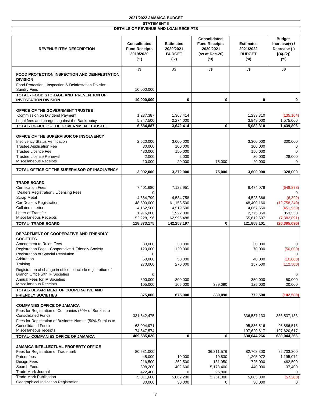| <b>REVENUE ITEM DESCRIPTION</b>                                               | Consolidated<br><b>Fund Receipts</b><br>2019/2020<br>(1) | <b>Estimates</b><br>2020/2021<br><b>BUDGET</b><br>(2) | Consolidated<br><b>Fund Receipts</b><br>2020/2021<br>(as at Dec-20)<br>(3) | <b>Estimates</b><br>2021/2022<br><b>BUDGET</b><br>(4) | <b>Budget</b><br>Increase $(+)$ /<br>Decrease (-)<br>$[(4)-(2)]$<br>(5) |
|-------------------------------------------------------------------------------|----------------------------------------------------------|-------------------------------------------------------|----------------------------------------------------------------------------|-------------------------------------------------------|-------------------------------------------------------------------------|
|                                                                               | J\$                                                      | J\$                                                   | J\$                                                                        | J\$                                                   | J\$                                                                     |
| FOOD PROTECTION, INSPECTION AND DEINFESTATION<br><b>DIVISION</b>              |                                                          |                                                       |                                                                            |                                                       |                                                                         |
| Food Protection, Inspection & Deinfestation Division -<br><b>Sundry Fees</b>  | 10,000,000                                               |                                                       |                                                                            |                                                       |                                                                         |
| TOTAL - FOOD STORAGE AND PREVENTION OF<br><b>INVESTATION DIVISION</b>         | 10,000,000                                               | $\bf{0}$                                              | $\mathbf 0$                                                                | 0                                                     | 0                                                                       |
|                                                                               |                                                          |                                                       |                                                                            |                                                       |                                                                         |
| OFFICE OF THE GOVERNMENT TRUSTEE<br>Commission on Dividend Payment            | 1,237,387                                                | 1,368,414                                             |                                                                            | 1,233,310                                             | (135, 104)                                                              |
| Legal fees and charges against the Bankruptcy                                 | 5,347,500                                                | 2,274,000                                             |                                                                            | 3,849,000                                             | 1,575,000                                                               |
| TOTAL- OFFICE OF THE GOVERNMENT TRUSTEE                                       | 6,584,887                                                | 3,642,414                                             | $\bf{0}$                                                                   | 5,082,310                                             | 1,439,896                                                               |
| OFFICE OF THE SUPERVISOR OF INSOLVENCY                                        |                                                          |                                                       |                                                                            |                                                       |                                                                         |
| <b>Insolvency Status Verification</b>                                         | 2,520,000                                                | 3,000,000                                             |                                                                            | 3,300,000                                             | 300,000                                                                 |
| <b>Trustee Application Fee</b><br><b>Trustee Licence Fee</b>                  | 80,000<br>480,000                                        | 100,000<br>150,000                                    |                                                                            | 100,000<br>150,000                                    | 0<br>$\Omega$                                                           |
| <b>Trustee License Renewal</b>                                                | 2,000                                                    | 2,000                                                 |                                                                            | 30,000                                                | 28,000                                                                  |
| Miscellaneous Receipts                                                        | 10,000                                                   | 20,000                                                | 75,000                                                                     | 20,000                                                | $\mathbf 0$                                                             |
| TOTAL-OFFICE OF THE SUPERVISOR OF INSOLVENCY                                  | 3,092,000                                                | 3,272,000                                             | 75,000                                                                     | 3,600,000                                             | 328,000                                                                 |
| <b>TRADE BOARD</b>                                                            |                                                          |                                                       |                                                                            |                                                       |                                                                         |
| <b>Certification Fees</b>                                                     | 7,401,680                                                | 7,122,951                                             |                                                                            | 6,474,078                                             | (648, 873)                                                              |
| Dealers Registration / Licensing Fees                                         | 0                                                        |                                                       |                                                                            |                                                       | $\Omega$                                                                |
| <b>Scrap Metal</b><br>Car Dealers Registration                                | 4,664,799<br>48,500,000                                  | 4,534,758<br>61,158,500                               |                                                                            | 4,528,366<br>48,400,160                               | (6, 392)<br>(12,758,340)                                                |
| <b>Collateral Letter</b>                                                      | 4,162,500                                                | 4,519,500                                             |                                                                            | 4,067,550                                             | (451, 950)                                                              |
| Letter of Transfer                                                            | 1,916,000                                                | 1,922,000                                             |                                                                            | 2,775,350                                             | 853,350                                                                 |
| Miscellaneous Receipts                                                        | 52,228,196                                               | 62,995,488                                            |                                                                            | 55,612,597                                            | (7, 382, 891)                                                           |
| <b>TOTAL- TRADE BOARD</b>                                                     | 118,873,175                                              | 142,253,197                                           | $\bf{0}$                                                                   | 121,858,101                                           | (20, 395, 096)                                                          |
| DEPARTMENT OF COOPERATIVE AND FRIENDLY<br><b>SOCIETIES</b>                    |                                                          |                                                       |                                                                            |                                                       |                                                                         |
| Amendment to Rules Fees                                                       | 30.000                                                   | 30,000                                                |                                                                            | 30.000                                                | $\Omega$                                                                |
| Registration Fees - Cooperative & Friendly Society                            | 120,000                                                  | 120,000                                               |                                                                            | 70,000                                                | (50,000)                                                                |
| Registration of Special Resolution<br>Arbitration                             | 0<br>50,000                                              | 50,000                                                |                                                                            | 40,000                                                | $\Omega$<br>(10,000)                                                    |
| Training                                                                      | 270,000                                                  | 270,000                                               |                                                                            | 157,500                                               | (112,500)                                                               |
| Registration of change in office to include registration of                   |                                                          |                                                       |                                                                            |                                                       |                                                                         |
| <b>Branch Office with IP Societies</b><br><b>Annual Fees for IP Societies</b> | $\Omega$                                                 |                                                       |                                                                            |                                                       |                                                                         |
| Miscellaneous Receipts                                                        | 300,000<br>105,000                                       | 300,000<br>105,000                                    | 389,090                                                                    | 350,000<br>125,000                                    | 50,000<br>20,000                                                        |
| TOTAL- DEPARTMENT OF COOPERATIVE AND<br><b>FRIENDLY SOCIETIES</b>             | 875,000                                                  | 875,000                                               | 389,090                                                                    | 772,500                                               | (102, 500)                                                              |
|                                                                               |                                                          |                                                       |                                                                            |                                                       |                                                                         |
| <b>COMPANIES OFFICE OF JAMAICA</b>                                            |                                                          |                                                       |                                                                            |                                                       |                                                                         |
| Fees for Registration of Companies (50% of Surplus to<br>Consolidated Fund)   | 331,842,475                                              |                                                       |                                                                            | 336,537,133                                           | 336,537,133                                                             |
| Fees for Registration of Business Names (50% Surplus to                       |                                                          |                                                       |                                                                            |                                                       |                                                                         |
| Consolidated Fund)                                                            | 63,094,971                                               |                                                       |                                                                            | 95,886,516                                            | 95,886,516                                                              |
| Miscellaneous receipts<br>TOTAL- COMPANIES OFFICE OF JAMAICA                  | 74,647,574<br>469,585,020                                | 0                                                     | 0                                                                          | 197,620,617<br>630,044,266                            | 197,620,617<br>630,044,266                                              |
|                                                                               |                                                          |                                                       |                                                                            |                                                       |                                                                         |
| <b>JAMAICA INTELLECTUAL PROPERTY OFFICE</b>                                   |                                                          |                                                       |                                                                            |                                                       |                                                                         |
| Fees for Registration of Trademark                                            | 80,581,000                                               |                                                       | 36,311,576                                                                 | 82,703,300                                            | 82,703,300                                                              |
| Patent fees<br>Design Fees                                                    | 45,000<br>216,500                                        | 10,000<br>262,500                                     | 19,830<br>131,950                                                          | 1,205,072<br>725,000                                  | 1,195,072<br>462,500                                                    |
| Search Fees                                                                   | 398,200                                                  | 402,600                                               | 5,173,400                                                                  | 440,000                                               | 37,400                                                                  |
| <b>Trade Mark Journal</b>                                                     | 422,400                                                  | 0                                                     | 96,800                                                                     |                                                       | 0                                                                       |
| <b>Trade Mark Publication</b>                                                 | 5,011,600                                                | 5,062,200                                             | 2,761,000                                                                  | 5,005,000                                             | (57, 200)                                                               |
| Geographical Indication Registration                                          | 30,000                                                   | 30,000                                                | 0                                                                          | 30,000                                                | 0                                                                       |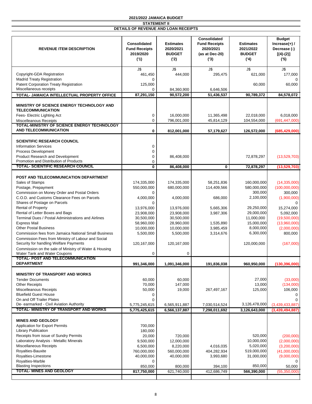| <b>REVENUE ITEM DESCRIPTION</b>                                                     | <b>Consolidated</b><br><b>Fund Receipts</b><br>2019/2020<br>(1) | <b>Estimates</b><br>2020/2021<br><b>BUDGET</b><br>('2) | Consolidated<br><b>Fund Receipts</b><br>2020/2021<br>(as at Dec-20)<br>(3) | <b>Estimates</b><br>2021/2022<br><b>BUDGET</b><br>(4) | <b>Budget</b><br>Increase $(+)$ /<br>Decrease (-)<br>$[(4)-(2)]$<br>(5) |
|-------------------------------------------------------------------------------------|-----------------------------------------------------------------|--------------------------------------------------------|----------------------------------------------------------------------------|-------------------------------------------------------|-------------------------------------------------------------------------|
| Copyright-GDA Registration                                                          | J\$<br>461,450                                                  | J\$<br>444,000                                         | J\$<br>295,475                                                             | J\$<br>621,000                                        | J\$<br>177,000                                                          |
| <b>Madrid Treaty Registration</b>                                                   | 0                                                               |                                                        |                                                                            |                                                       | $\Omega$                                                                |
| Patent Corporation Treaty Registration<br>Miscellaneous receipts                    | 125,000<br>$\Omega$                                             | 84,360,900                                             | 6,646,506                                                                  | 60,000                                                | 60,000                                                                  |
| TOTAL- JAMAICA INTELLECTUAL PROPERTY OFFICE                                         | 87,291,150                                                      | 90,572,200                                             | 51,436,537                                                                 | 90.789.372                                            | 84,578,072                                                              |
| MINISTRY OF SCIENCE ENERGY TECHNOLOGY AND<br><b>TELECOMMUNICATION</b>               |                                                                 |                                                        |                                                                            |                                                       |                                                                         |
| Fees- Electric Lighting Act                                                         | $\mathbf 0$                                                     | 16,000,000                                             | 11,365,498                                                                 | 22,018,000                                            | 6,018,000                                                               |
| <b>Miscelleanous Receipts</b><br><b>TOTAL-MINISTRY OF SCIENCE ENERGY TECHNOLOGY</b> | $\overline{0}$                                                  | 796,001,000                                            | 45,814,129                                                                 | 104,554,000                                           | (691, 447, 000)                                                         |
| <b>AND TELECOMMUNICATION</b>                                                        | 0                                                               | 812,001,000                                            | 57,179,627                                                                 | 126,572,000                                           | (685, 429, 000)                                                         |
| <b>SCIENTIFIC RESEARCH COUNCIL</b>                                                  |                                                                 |                                                        |                                                                            |                                                       |                                                                         |
| <b>Information Services</b>                                                         | 0                                                               |                                                        |                                                                            |                                                       |                                                                         |
| Process Development                                                                 | $\mathbf 0$                                                     |                                                        |                                                                            |                                                       |                                                                         |
| Product Research and Development                                                    | $\mathbf 0$                                                     | 86,408,000                                             |                                                                            | 72,878,297                                            | (13,529,703)                                                            |
| Promotion and Distribution of Products<br><b>TOTAL- SCIENTIFIC RESEARCH COUNCIL</b> | 0<br>0                                                          | 86,408,000                                             | 0                                                                          | 72,878,297                                            | (13,529,703)                                                            |
|                                                                                     |                                                                 |                                                        |                                                                            |                                                       |                                                                         |
| POST AND TELECOMMUNICATION DEPARTMENT                                               |                                                                 |                                                        |                                                                            |                                                       |                                                                         |
| Sales of Stamps                                                                     | 174,335,000                                                     | 174,335,000                                            | 58,251,836                                                                 | 160,000,000                                           | (14, 335, 000)                                                          |
| Postage, Prepayment                                                                 | 550,000,000                                                     | 680,000,000                                            | 114,409,566                                                                | 580,000,000                                           | (100,000,000)                                                           |
| Commission on Money Order and Postal Orders                                         | 0                                                               |                                                        |                                                                            | 300,000                                               | 300,000                                                                 |
| C.O.D. and Customs Clearance Fees on Parcels                                        | 4,000,000                                                       | 4,000,000                                              | 686,000                                                                    | 2,100,000                                             | (1,900,000)                                                             |
| Shares of Postage on Parcels                                                        | $\Omega$                                                        |                                                        |                                                                            |                                                       | $\Omega$                                                                |
| <b>Rental of Property</b>                                                           | 13,976,000                                                      | 13,976,000                                             | 5,665,306                                                                  | 29,250,000                                            | 15,274,000                                                              |
| Rental of Letter Boxes and Bags                                                     | 23,908,000                                                      | 23,908,000                                             | 3,987,306                                                                  | 29,000,000                                            | 5,092,000                                                               |
| Terminal Dues / Postal Administrations and Airlines<br><b>Express Mail</b>          | 30,500,000                                                      | 30,500,000                                             |                                                                            | 11,000,000                                            | (19,500,000)                                                            |
| <b>Other Postal Business</b>                                                        | 58,960,000<br>10,000,000                                        | 28,960,000<br>10,000,000                               | 1,535,890<br>3,985,459                                                     | 15,000,000<br>8,000,000                               | (13,960,000)<br>(2,000,000)                                             |
| <b>Commission fees from Jamaica National Small Business</b>                         | 5,500,000                                                       | 5,500,000                                              | 3,314,676                                                                  | 6,300,000                                             | 800,000                                                                 |
| Commission Fees from Ministry of Labour and Social                                  |                                                                 |                                                        |                                                                            |                                                       |                                                                         |
| Security for handling Welfare Payments                                              | 120,167,000                                                     | 120,167,000                                            |                                                                            | 120,000,000                                           | (167,000)                                                               |
| Commission on the sale of Ministry of Water & Housing                               |                                                                 |                                                        |                                                                            |                                                       |                                                                         |
| Water Tank and Water Coupons<br><b>TOTAL- POST AND TELECOMMUNICATION</b>            | 0                                                               | 0                                                      |                                                                            |                                                       |                                                                         |
| <b>DEPARTMENT</b>                                                                   | 991,346,000                                                     | 1,091,346,000                                          | 191,836,038                                                                | 960,950,000                                           | (130, 396, 000)                                                         |
| <b>MINISTRY OF TRANSPORT AND WORKS</b>                                              |                                                                 |                                                        |                                                                            |                                                       |                                                                         |
| <b>Tender Documents</b>                                                             | 60,000                                                          | 60,000                                                 |                                                                            | 27,000                                                | (33,000)                                                                |
| <b>Other Receipts</b>                                                               | 70,000                                                          | 147,000                                                |                                                                            | 13,000                                                | (134,000)                                                               |
| Miscelleanous Receipts                                                              | 50,000                                                          | 19,000                                                 | 267,497,167                                                                | 125,000                                               | 106,000                                                                 |
| <b>Bluefield Guest House</b>                                                        | 0                                                               |                                                        |                                                                            |                                                       | $\Omega$                                                                |
| On and Off Trailer Plates                                                           | 0                                                               |                                                        |                                                                            |                                                       |                                                                         |
| De- earmarked - Civil Aviation Authority<br>TOTAL- MINISTRY OF TRANSPORT AND WORKS  | 5,775,245,615<br>5,775,425,615                                  | 6,565,911,887                                          | 7,030,514,524<br>7,298,011,692                                             | 3,126,478,000<br>3,126,643,000                        | (3,439,433,887)<br>(3,439,494,887)                                      |
|                                                                                     |                                                                 | 6,566,137,887                                          |                                                                            |                                                       |                                                                         |
| <b>MINES AND GEOLOGY</b>                                                            |                                                                 |                                                        |                                                                            |                                                       |                                                                         |
| Application for Export Permits                                                      | 700,000                                                         |                                                        |                                                                            |                                                       |                                                                         |
| <b>Library Publication</b>                                                          | 180,000                                                         |                                                        |                                                                            |                                                       |                                                                         |
| Receipts from issue of Sundry Permits                                               | 20,000                                                          | 720,000                                                |                                                                            | 520,000                                               | (200,000)                                                               |
| Laboratory Analysis - Metallic Minerals                                             | 9,500,000                                                       | 12,000,000                                             |                                                                            | 10,000,000                                            | (2,000,000)                                                             |
| Miscellaneous Receipts                                                              | 6,500,000                                                       | 8,220,000                                              | 4,016,035                                                                  | 5,020,000                                             | (3,200,000)                                                             |
| Royalties-Bauxite                                                                   | 760,000,000                                                     | 560,000,000                                            | 404,282,934                                                                | 519,000,000                                           | (41,000,000)                                                            |
| Royalties-Limestone                                                                 | 40,000,000                                                      | 40,000,000                                             | 3,993,680                                                                  | 31,000,000                                            | (9,000,000)                                                             |
| Royalties-Marble<br><b>Blasting Inspections</b>                                     | $\Omega$<br>850,000                                             | 800,000                                                | 394,100                                                                    | 850,000                                               | 50,000                                                                  |
| <b>TOTAL- MINES AND GEOLOGY</b>                                                     | 817,750,000                                                     | 621,740,000                                            | 412,686,749                                                                | 566,390,000                                           | (55, 350, 000)                                                          |
|                                                                                     |                                                                 |                                                        |                                                                            |                                                       |                                                                         |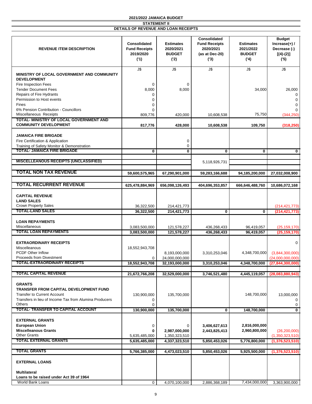| <b>REVENUE ITEM DESCRIPTION</b>                                                                                                                                          | <b>Consolidated</b><br><b>Fund Receipts</b><br>2019/2020<br>(1) | <b>Estimates</b><br>2020/2021<br><b>BUDGET</b><br>('2) | Consolidated<br><b>Fund Receipts</b><br>2020/2021<br>(as at Dec-20)<br>(3) | <b>Estimates</b><br>2021/2022<br><b>BUDGET</b><br>(4) | <b>Budget</b><br>Increase $(+)$ /<br>Decrease (-)<br>$[(4)-(2)]$<br>(5) |
|--------------------------------------------------------------------------------------------------------------------------------------------------------------------------|-----------------------------------------------------------------|--------------------------------------------------------|----------------------------------------------------------------------------|-------------------------------------------------------|-------------------------------------------------------------------------|
| MINISTRY OF LOCAL GOVERNMENT AND COMMUNITY<br><b>DEVELOPMENT</b>                                                                                                         | J\$                                                             | J\$                                                    | J\$                                                                        | J\$                                                   | J\$                                                                     |
| Fire Inspection Fees<br><b>Tender Document Fees</b><br>Repairs of Fire Hydrants<br>Permission to Host events<br><b>Fines</b>                                             | 0<br>8,000<br>0<br>$\Omega$<br>0                                | 0<br>8,000                                             |                                                                            | 34,000                                                | 26,000<br>0<br>$\Omega$<br>$\Omega$                                     |
| 6% Pension Contribution - Councillors<br>Miscellaneous Receipts                                                                                                          | $\Omega$<br>809,776                                             | 420,000                                                | 10,608,538                                                                 | 75,750                                                | $\Omega$<br>(344, 250)                                                  |
| TOTAL- MINISTRY OF LOCAL GOVERNMENT AND<br><b>COMMUNITY DEVELOPMENT</b>                                                                                                  | 817,776                                                         | 428,000                                                | 10,608,538                                                                 | 109,750                                               | (318, 250)                                                              |
| <b>JAMAICA FIRE BRIGADE</b><br>Fire Certification & Application<br>Training of Safety Monitor & Demonstration                                                            |                                                                 | 0<br>$\mathbf 0$                                       |                                                                            |                                                       |                                                                         |
| <b>TOTAL- JAMAICA FIRE BRIGADE</b>                                                                                                                                       | 0                                                               | 0                                                      | 0                                                                          | 0                                                     | $\mathbf 0$                                                             |
| <b>MISCELLEANOUS RECEIPTS (UNCLASSIFIED)</b>                                                                                                                             |                                                                 |                                                        | 5,118,926,731                                                              |                                                       |                                                                         |
| <b>TOTAL NON TAX REVENUE</b>                                                                                                                                             | 59,600,575,965                                                  | 67,290,901,000                                         | 59,283,166,688                                                             | 94,185,200,000                                        | 27,032,008,900                                                          |
| <b>TOTAL RECURRENT REVENUE</b>                                                                                                                                           | 625,478,884,969                                                 | 656,098,126,493                                        | 404,696,353,857                                                            | 666,646,488,760                                       | 10,686,072,168                                                          |
| <b>CAPITAL REVENUE</b><br><b>LAND SALES</b>                                                                                                                              |                                                                 |                                                        |                                                                            |                                                       |                                                                         |
| <b>Crown Property Sales</b><br><b>TOTAL-LAND SALES</b>                                                                                                                   | 36,322,500                                                      | 214,421,773                                            |                                                                            |                                                       | (214, 421, 773)                                                         |
|                                                                                                                                                                          | 36,322,500                                                      | 214,421,773                                            | 0                                                                          | 0                                                     | (214, 421, 773)                                                         |
| <b>LOAN REPAYMENTS</b><br>Miscellaneous                                                                                                                                  | 3,083,500,000                                                   | 121,578,227                                            | 436,268,433                                                                | 96,419,057                                            | (25, 159, 170)                                                          |
| <b>TOTAL LOAN REPAYMENTS</b>                                                                                                                                             | 3,083,500,000                                                   | 121,578,227                                            | 436,268,433                                                                | 96,419,057                                            | (25, 159, 170)                                                          |
| <b>EXTRAORDINARY RECEIPTS</b><br>Miscelleanous<br><b>PCDF Other Inflow</b>                                                                                               | 18,552,943,708                                                  | 8,193,000,000                                          | 3,310,253,046                                                              | 4,348,700,000                                         | $\Omega$<br>(3,844,300,000)                                             |
| <b>Proceeds from Divestment</b><br>TOTAL-EXTRAORDINARY RECEIPTS                                                                                                          | 0<br>18,552,943,708                                             | 24,000,000,000<br>32,193,000,000                       | 3,310,253,046                                                              | 4,348,700,000                                         | (24,000,000,000)<br>(27, 844, 300, 000)                                 |
| <b>TOTAL CAPITAL REVENUE</b>                                                                                                                                             |                                                                 |                                                        | 3,746,521,480                                                              |                                                       |                                                                         |
|                                                                                                                                                                          | 21,672,766,208                                                  | 32,529,000,000                                         |                                                                            | 4,445,119,057                                         | (28,083,880,943)                                                        |
| <b>GRANTS</b><br><b>TRANSFER FROM CAPITAL DEVELOPMENT FUND</b><br><b>Transfer to Current Account</b><br>Transfers in lieu of Income Tax from Alumina Producers<br>Others | 130,900,000<br>0<br>0                                           | 135,700,000                                            |                                                                            | 148,700,000                                           | 13,000,000<br>0<br>0                                                    |
| <b>TOTAL- TRANSFER TO CAPITAL ACCOUNT</b>                                                                                                                                | 130,900,000                                                     | 135,700,000                                            | $\bf{0}$                                                                   | 148,700,000                                           | $\mathbf 0$                                                             |
| <b>EXTERNAL GRANTS</b><br><b>European Union</b><br><b>Miscelleanous Grants</b>                                                                                           | 0<br>0                                                          | 0<br>2,987,000,000                                     | 3,406,627,613<br>2,443,825,413                                             | 2,816,000,000<br>2,960,800,000                        | (26, 200, 000)                                                          |
| <b>Other Grants</b><br><b>TOTAL EXTERNAL GRANTS</b>                                                                                                                      | 5,635,485,000<br>5,635,485,000                                  | 1,350,323,510<br>4,337,323,510                         | 5,850,453,026                                                              | 5,776,800,000                                         | (1,350,323,510)<br>(1,376,523,510)                                      |
| <b>TOTAL GRANTS</b>                                                                                                                                                      | 5,766,385,000                                                   | 4,473,023,510                                          | 5,850,453,026                                                              | 5,925,500,000                                         | (1,376,523,510)                                                         |
| <b>EXTERNAL LOANS</b>                                                                                                                                                    |                                                                 |                                                        |                                                                            |                                                       |                                                                         |
| <b>Multilateral</b><br>Loans to be raised under Act 39 of 1964                                                                                                           |                                                                 |                                                        |                                                                            |                                                       |                                                                         |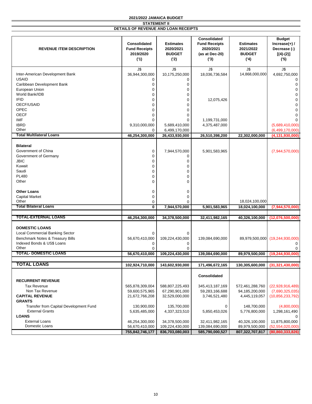| <b>REVENUE ITEM DESCRIPTION</b>        | Consolidated<br><b>Fund Receipts</b><br>2019/2020<br>(1) | <b>Estimates</b><br>2020/2021<br><b>BUDGET</b><br>('2) | Consolidated<br><b>Fund Receipts</b><br>2020/2021<br>(as at Dec-20)<br>(3) | <b>Estimates</b><br>2021/2022<br><b>BUDGET</b><br>(4) | <b>Budget</b><br>Increase $(+)$ /<br>Decrease (-)<br>$[(4)-(2)]$<br>(5) |
|----------------------------------------|----------------------------------------------------------|--------------------------------------------------------|----------------------------------------------------------------------------|-------------------------------------------------------|-------------------------------------------------------------------------|
|                                        | J\$                                                      | J\$                                                    | J\$                                                                        | J\$                                                   | J\$                                                                     |
| Inter-American Development Bank        | 36,944,300,000                                           | 10,175,250,000                                         | 18,036,736,584                                                             | 14,868,000,000                                        | 4,692,750,000                                                           |
| <b>USAID</b>                           | 0                                                        | 0                                                      |                                                                            |                                                       | 0                                                                       |
| Caribbean Development Bank             | $\mathbf 0$                                              | 0                                                      |                                                                            |                                                       | 0                                                                       |
| European Union                         | $\Omega$                                                 | $\Omega$                                               |                                                                            |                                                       | $\mathbf 0$                                                             |
| World Bank/IDB                         | 0                                                        | 0                                                      |                                                                            |                                                       | $\mathbf 0$                                                             |
| <b>IFID</b>                            |                                                          | $\mathbf 0$                                            |                                                                            |                                                       |                                                                         |
| OECF/USAID                             | $\mathbf 0$<br>$\Omega$                                  | $\Omega$                                               | 12,075,426                                                                 |                                                       | $\mathbf 0$<br>$\mathbf 0$                                              |
|                                        |                                                          |                                                        |                                                                            |                                                       |                                                                         |
| <b>OPEC</b>                            | 0                                                        | 0                                                      |                                                                            |                                                       | $\mathbf 0$                                                             |
| <b>OECF</b>                            | $\Omega$                                                 | $\Omega$                                               |                                                                            |                                                       | $\mathbf 0$                                                             |
| IMF                                    | $\Omega$                                                 | $\Omega$                                               | 1,199,731,000                                                              |                                                       |                                                                         |
| <b>IBRD</b>                            | 9,310,000,000                                            | 5,689,410,000                                          | 4,375,487,000                                                              |                                                       | (5,689,410,000)                                                         |
| Other                                  | 0                                                        | 6,499,170,000                                          |                                                                            |                                                       | (6,499,170,000)                                                         |
| <b>Total Multilateral Loans</b>        | 46,254,300,000                                           | 26,433,930,000                                         | 26,510,398,200                                                             | 22,302,000,000                                        | (4, 131, 930, 000)                                                      |
|                                        |                                                          |                                                        |                                                                            |                                                       |                                                                         |
| <b>Bilateral</b>                       |                                                          |                                                        |                                                                            |                                                       |                                                                         |
| Government of China                    | 0                                                        | 7,944,570,000                                          | 5,901,583,965                                                              |                                                       | (7,944,570,000)                                                         |
| Government of Germany                  | 0                                                        | 0                                                      |                                                                            |                                                       |                                                                         |
| <b>JBIC</b>                            | 0                                                        | 0                                                      |                                                                            |                                                       |                                                                         |
| Kuwait                                 | $\Omega$                                                 | $\Omega$                                               |                                                                            |                                                       |                                                                         |
| Saudi                                  | 0                                                        | 0                                                      |                                                                            |                                                       |                                                                         |
| <b>PL480</b>                           | 0                                                        | 0                                                      |                                                                            |                                                       |                                                                         |
| Other                                  | $\Omega$                                                 | $\Omega$                                               |                                                                            |                                                       |                                                                         |
|                                        |                                                          |                                                        |                                                                            |                                                       |                                                                         |
| <b>Other Loans</b>                     | 0                                                        | 0                                                      |                                                                            |                                                       |                                                                         |
| <b>Capital Market</b>                  | $\mathbf 0$                                              | $\Omega$                                               |                                                                            |                                                       |                                                                         |
| Other                                  | 0                                                        | $\Omega$                                               |                                                                            | 18,024,100,000                                        |                                                                         |
| <b>Total Bilateral Loans</b>           | $\bf{0}$                                                 | 7,944,570,000                                          | 5,901,583,965                                                              | 18,024,100,000                                        | (7,944,570,000)                                                         |
|                                        |                                                          |                                                        |                                                                            |                                                       |                                                                         |
| <b>TOTAL-EXTERNAL LOANS</b>            | 46,254,300,000                                           | 34,378,500,000                                         | 32,411,982,165                                                             | 40,326,100,000                                        | (12,076,500,000)                                                        |
|                                        |                                                          |                                                        |                                                                            |                                                       |                                                                         |
| <b>DOMESTIC LOANS</b>                  |                                                          |                                                        |                                                                            |                                                       |                                                                         |
| <b>Local Commercial Banking Sector</b> | 0                                                        | 0                                                      |                                                                            |                                                       |                                                                         |
| Benchmark Notes & Treasury Bills       | 56,670,410,000                                           | 109,224,430,000                                        | 139,084,690,000                                                            |                                                       | 89,979,500,000 (19,244,930,000)                                         |
| Indexed Bonds & US\$ Loans             | 0                                                        | 0                                                      |                                                                            |                                                       |                                                                         |
| Other                                  | $\Omega$                                                 | $\Omega$                                               |                                                                            |                                                       |                                                                         |
| <b>TOTAL- DOMESTIC LOANS</b>           | 56,670,410,000                                           | 109,224,430,000                                        | 139,084,690,000                                                            | 89,979,500,000                                        | (19, 244, 930, 000)                                                     |
|                                        |                                                          |                                                        |                                                                            |                                                       |                                                                         |
| <b>TOTAL LOANS</b>                     | 102,924,710,000                                          | 143,602,930,000                                        | 171,496,672,165                                                            | 130,305,600,000                                       | (31, 321, 430, 000)                                                     |
|                                        |                                                          |                                                        |                                                                            |                                                       |                                                                         |
|                                        |                                                          |                                                        | <b>Consolidated</b>                                                        |                                                       |                                                                         |
| <b>RECURRENT REVENUE</b>               |                                                          |                                                        |                                                                            |                                                       |                                                                         |
| <b>Tax Revenue</b>                     | 565,878,309,004                                          | 588,807,225,493                                        | 345,413,187,169                                                            | 572,461,288,760                                       | (22, 928, 916, 489)                                                     |
| Non Tax Revenue                        | 59,600,575,965                                           | 67,290,901,000                                         | 59,283,166,688                                                             | 94,185,200,000                                        | (7,690,325,035)                                                         |
| <b>CAPITAL REVENUE</b>                 | 21,672,766,208                                           | 32,529,000,000                                         | 3,746,521,480                                                              | 4,445,119,057                                         | (10, 856, 233, 792)                                                     |
| <b>GRANTS</b>                          |                                                          |                                                        |                                                                            |                                                       |                                                                         |
| Transfer from Capital Development Fund | 130,900,000                                              | 135,700,000                                            | 0                                                                          | 148,700,000                                           | (4,800,000)                                                             |
| <b>External Grants</b>                 |                                                          |                                                        |                                                                            |                                                       |                                                                         |
| <b>LOANS</b>                           | 5,635,485,000                                            | 4,337,323,510                                          | 5,850,453,026                                                              | 5,776,800,000                                         | 1,298,161,490                                                           |
|                                        |                                                          |                                                        |                                                                            |                                                       | 0                                                                       |
| <b>External Loans</b>                  | 46,254,300,000                                           | 34,378,500,000                                         | 32,411,982,165                                                             | 40,326,100,000                                        | 11,875,800,000                                                          |
| Domestic Loans                         | 56,670,410,000                                           | 109,224,430,000                                        | 139,084,690,000                                                            | 89,979,500,000                                        | (52, 554, 020, 000)                                                     |
|                                        | 755,842,746,177                                          | 836,703,080,003                                        | 585,790,000,527                                                            | 807,322,707,817                                       | (80, 860, 333, 826)                                                     |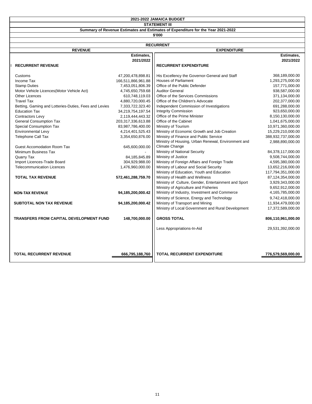**STATEMENT III**

**Summary of Revenue Estimates and Estimates of Expenditure for the Year 2021-2022**

**\$'000**

| <b>RECURRENT</b> |                                                       |                    |                                                      |                    |  |
|------------------|-------------------------------------------------------|--------------------|------------------------------------------------------|--------------------|--|
|                  | <b>REVENUE</b>                                        |                    | <b>EXPENDITURE</b>                                   |                    |  |
|                  |                                                       | Estimates,         |                                                      | Estimates,         |  |
|                  |                                                       | 2021/2022          |                                                      | 2021/2022          |  |
|                  | <b>RECURRENT REVENUE</b>                              |                    | <b>RECURRENT EXPENDITURE</b>                         |                    |  |
|                  |                                                       |                    |                                                      |                    |  |
|                  | Customs                                               | 47,200,478,898.81  | His Excellency the Governor-General and Staff        | 368,189,000.00     |  |
|                  | Income Tax                                            | 166,511,866,961.88 | <b>Houses of Parliament</b>                          | 1,293,275,000.00   |  |
|                  | <b>Stamp Duties</b>                                   | 7,453,051,806.39   | Office of the Public Defender                        | 157,771,000.00     |  |
|                  | Motor Vehicle Licences(Motor Vehicle Act)             | 4,745,650,759.68   | <b>Auditor General</b>                               | 938,587,000.00     |  |
|                  | <b>Other Licences</b>                                 | 610,748,119.03     | Office of the Services Commissions                   | 371,134,000.00     |  |
|                  | <b>Travel Tax</b>                                     | 4,880,720,000.45   | Office of the Children's Advocate                    | 202,377,000.00     |  |
|                  | Betting, Gaming and Lotteries-Duties, Fees and Levies | 7,333,722,323.40   | Independent Commission of Investigations             | 691,288,000.00     |  |
|                  | <b>Education Tax</b>                                  | 34,219,754,197.54  | <b>Integrity Commission</b>                          | 923,650,000.00     |  |
|                  | <b>Contractors Levy</b>                               | 2,119,444,443.32   | Office of the Prime Minister                         | 8,150,130,000.00   |  |
|                  | <b>General Consumption Tax</b>                        | 203,317,336,613.88 | Office of the Cabinet                                | 1,041,675,000.00   |  |
|                  | Special Consumption Tax                               | 83,987,786,400.00  | Ministry of Tourism                                  | 10,971,360,000.00  |  |
|                  | <b>Environmental Levy</b>                             | 4,214,401,525.43   | Ministry of Economic Growth and Job Creation         | 15,229,210,000.00  |  |
|                  | <b>Telephone Call Tax</b>                             | 3,354,650,876.00   | Ministry of Finance and Public Service               | 388,932,737,000.00 |  |
|                  |                                                       |                    | Ministry of Housing, Urban Renewal, Environment and  | 2,988,890,000.00   |  |
|                  | <b>Guest Accomodation Room Tax</b>                    | 645,600,000.00     | Climate Change                                       |                    |  |
|                  | Minimum Business Tax                                  |                    | Ministry of National Security                        | 84,378,117,000.00  |  |
|                  | Quarry Tax                                            | 84,185,845.89      | Ministry of Justice                                  | 9,508,744,000.00   |  |
|                  | Import Licences-Trade Board                           | 304,929,988.00     | Ministry of Foreign Affairs and Foreign Trade        | 4,595,380,000.00   |  |
|                  | <b>Telecommunication Licences</b>                     | 1,476,960,000.00   | Ministry of Labour and Social Security               | 13,652,216,000.00  |  |
|                  |                                                       |                    | Ministry of Education, Youth and Education           | 117,794,351,000.00 |  |
|                  | <b>TOTAL TAX REVENUE</b>                              | 572,461,288,759.70 | Ministry of Health and Wellness                      | 87,124,354,000.00  |  |
|                  |                                                       |                    | Ministry of Culture, Gender, Entertainment and Sport | 3,929,343,000.00   |  |
|                  |                                                       |                    | Ministry of Agriculture and Fisheries                | 9,652,912,000.00   |  |
|                  | <b>NON-TAX REVENUE</b>                                | 94,185,200,000.42  | Ministry of Industry, Investment and Commerce        | 4,165,785,000.00   |  |
|                  |                                                       |                    | Ministry of Science, Energy and Technology           | 9,742,418,000.00   |  |
|                  | <b>SUBTOTAL NON TAX REVENUE</b>                       | 94,185,200,000.42  | Ministry of Transport and Mining                     | 11,934,479,000.00  |  |
|                  |                                                       |                    | Ministry of Local Government and Rural Development   | 17,372,589,000.00  |  |
|                  |                                                       |                    |                                                      |                    |  |
|                  | <b>TRANSFERS FROM CAPITAL DEVELOPMENT FUND</b>        | 148,700,000.00     | <b>GROSS TOTAL</b>                                   | 806,110,961,000.00 |  |
|                  |                                                       |                    |                                                      |                    |  |
|                  |                                                       |                    | Less Appropriations-In-Aid                           | 29,531,392,000.00  |  |
|                  |                                                       |                    |                                                      |                    |  |
|                  |                                                       |                    |                                                      |                    |  |
|                  | <b>TOTAL RECURRENT REVENUE</b>                        | 666,795,188,760    | <b>TOTAL RECURRENT EXPENDITURE</b>                   | 776,579,569,000.00 |  |
|                  |                                                       |                    |                                                      |                    |  |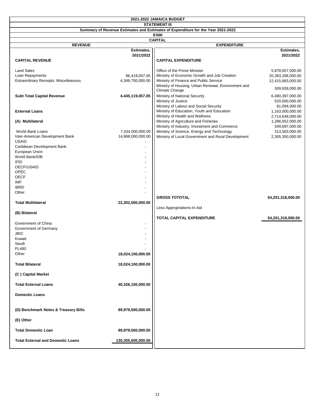| 2021-2022 JAMAICA BUDGET                                                                                 |                                   |                                                                                        |                                        |
|----------------------------------------------------------------------------------------------------------|-----------------------------------|----------------------------------------------------------------------------------------|----------------------------------------|
| <b>STATEMENT III</b><br>Summary of Revenue Estimates and Estimates of Expenditure for the Year 2021-2022 |                                   |                                                                                        |                                        |
| \$'000                                                                                                   |                                   |                                                                                        |                                        |
|                                                                                                          |                                   | <b>CAPITAL</b>                                                                         |                                        |
| <b>REVENUE</b>                                                                                           |                                   | <b>EXPENDITURE</b>                                                                     |                                        |
|                                                                                                          | Estimates,                        |                                                                                        | Estimates,                             |
| <b>CAPITAL REVENUE</b>                                                                                   | 2021/2022                         | <b>CAPITAL EXPENDITURE</b>                                                             | 2021/2022                              |
|                                                                                                          |                                   |                                                                                        |                                        |
| <b>Land Sales</b>                                                                                        |                                   | Office of the Prime Minister                                                           | 5,878,657,000.00                       |
| Loan Repayments<br>Extraordinary Receipts: Miscelleanous                                                 | 96,419,057.05<br>4,348,700,000.00 | Ministry of Economic Growth and Job Creation<br>Ministry of Finance and Public Service | 20,383,298,000.00<br>12,415,683,000.00 |
|                                                                                                          |                                   | Ministry of Housing, Urban Renewal, Environment and<br>Climate Change                  | 309,939,000.00                         |
| <b>Subt Total Capital Revenue</b>                                                                        | 4,445,119,057.05                  | Ministry of National Security                                                          | 6,480,397,000.00                       |
|                                                                                                          |                                   | Ministry of Justice                                                                    | 520,000,000.00                         |
|                                                                                                          |                                   | Ministry of Labour and Social Security                                                 | 81,094,000.00                          |
| <b>External Loans</b>                                                                                    |                                   | Ministry of Education, Youth and Education                                             | 1,163,000,000.00                       |
|                                                                                                          |                                   | Ministry of Health and Wellness                                                        | 2,714,648,000.00                       |
| (A) Multilateral                                                                                         |                                   | Ministry of Agriculture and Fisheries                                                  | 1,286,052,000.00                       |
|                                                                                                          |                                   | Ministry of Industry, Investment and Commerce                                          | 349,697,000.00                         |
| World Bank Loans                                                                                         | 7,434,000,000.00                  | Ministry of Science, Energy and Technology                                             | 313,503,000.00                         |
| Inter-American Development Bank                                                                          | 14,868,000,000.00                 | Ministry of Local Government and Rural Development                                     | 2,305,350,000.00                       |
| <b>USAID</b><br>Caribbean Development Bank                                                               |                                   |                                                                                        |                                        |
| European Union                                                                                           |                                   |                                                                                        |                                        |
| World Bank/IDB                                                                                           |                                   |                                                                                        |                                        |
| <b>IFID</b>                                                                                              |                                   |                                                                                        |                                        |
| OECF/USAID                                                                                               |                                   |                                                                                        |                                        |
| OPEC                                                                                                     |                                   |                                                                                        |                                        |
| <b>OECF</b>                                                                                              |                                   |                                                                                        |                                        |
| IMF                                                                                                      |                                   |                                                                                        |                                        |
| <b>IBRD</b>                                                                                              |                                   |                                                                                        |                                        |
| Other                                                                                                    |                                   |                                                                                        |                                        |
| <b>Total Multilateral</b>                                                                                |                                   | <b>GROSS TOTOTAL</b>                                                                   | 54,201,318,000.00                      |
|                                                                                                          | 22,302,000,000.00                 | Less Appropriations-In-Aid                                                             |                                        |
| (B) Bilateral                                                                                            |                                   |                                                                                        |                                        |
|                                                                                                          |                                   | TOTAL CAPITAL EXPENDITURE                                                              | 54,201,318,000.00                      |
| Government of China                                                                                      |                                   |                                                                                        |                                        |
| Government of Germany                                                                                    |                                   |                                                                                        |                                        |
| <b>JBIC</b>                                                                                              |                                   |                                                                                        |                                        |
| Kuwait                                                                                                   |                                   |                                                                                        |                                        |
| Saudi                                                                                                    |                                   |                                                                                        |                                        |
| <b>PL480</b>                                                                                             |                                   |                                                                                        |                                        |
| Other                                                                                                    | 18,024,100,000.00                 |                                                                                        |                                        |
| <b>Total Bilateral</b>                                                                                   | 18,024,100,000.00                 |                                                                                        |                                        |
| (C) Capital Market                                                                                       |                                   |                                                                                        |                                        |
| <b>Total External Loans</b>                                                                              | 40,326,100,000.00                 |                                                                                        |                                        |
| <b>Domestic Loans</b>                                                                                    |                                   |                                                                                        |                                        |
| (D) Benchmark Notes & Treasury Bills                                                                     | 89,979,500,000.00                 |                                                                                        |                                        |
| (E) Other                                                                                                |                                   |                                                                                        |                                        |
| <b>Total Domestic Loan</b>                                                                               | 89,979,500,000.00                 |                                                                                        |                                        |
| <b>Total External and Domestic Loans</b>                                                                 | 130,305,600,000.00                |                                                                                        |                                        |
|                                                                                                          |                                   |                                                                                        |                                        |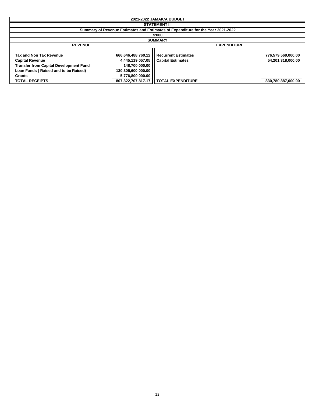| 2021-2022 JAMAICA BUDGET                                                                                                                                    |                                                                                                    |                                                                                  |                                         |  |
|-------------------------------------------------------------------------------------------------------------------------------------------------------------|----------------------------------------------------------------------------------------------------|----------------------------------------------------------------------------------|-----------------------------------------|--|
|                                                                                                                                                             | <b>STATEMENT III</b>                                                                               |                                                                                  |                                         |  |
|                                                                                                                                                             |                                                                                                    | Summary of Revenue Estimates and Estimates of Expenditure for the Year 2021-2022 |                                         |  |
|                                                                                                                                                             | \$'000                                                                                             |                                                                                  |                                         |  |
|                                                                                                                                                             | <b>SUMMARY</b>                                                                                     |                                                                                  |                                         |  |
| <b>REVENUE</b>                                                                                                                                              |                                                                                                    | <b>EXPENDITURE</b>                                                               |                                         |  |
| Tax and Non Tax Revenue<br><b>Capital Revenue</b><br><b>Transfer from Capital Development Fund</b><br>Loan Funds (Raised and to be Raised)<br><b>Grants</b> | 666,646,488,760.12<br>4,445,119,057.05<br>148,700,000.00<br>130,305,600,000.00<br>5,776,800,000.00 | <b>Recurrent Estimates</b><br><b>Capital Estimates</b>                           | 776,579,569,000.00<br>54,201,318,000.00 |  |
| <b>TOTAL RECEIPTS</b>                                                                                                                                       | 807.322.707.817.17                                                                                 | <b>TOTAL EXPENDITURE</b>                                                         | 830,780,887,000.00                      |  |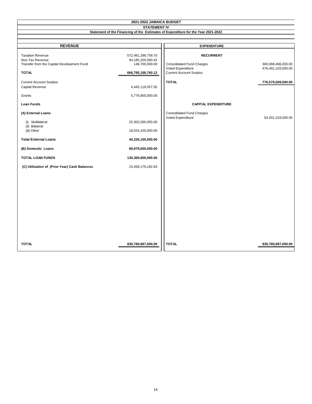| 2021-2022 JAMAICA BUDGET                                   |                                         |                                                                                         |                                          |
|------------------------------------------------------------|-----------------------------------------|-----------------------------------------------------------------------------------------|------------------------------------------|
|                                                            | <b>STATEMENT IV</b>                     |                                                                                         |                                          |
|                                                            |                                         | Statement of the Financing of the Estimates of Expenditure for the Year 2021-2022       |                                          |
|                                                            |                                         |                                                                                         |                                          |
| <b>REVENUE</b>                                             |                                         | <b>EXPENDITURE</b>                                                                      |                                          |
| <b>Taxation Revenue</b><br>Non-Tax Revenue                 | 572,461,288,759.70<br>94,185,200,000.42 | <b>RECURRENT</b>                                                                        |                                          |
| Transfer from the Capital Development Fund<br><b>TOTAL</b> | 148,700,000.00<br>666,795,188,760.12    | <b>Consolidated Fund Charges</b><br>Voted Expenditure<br><b>Current Account Surplus</b> | 300,088,466,000.00<br>476,491,103,000.00 |
| <b>Current Account Surplus</b>                             |                                         | <b>TOTAL</b>                                                                            | 776,579,569,000.00                       |
| Capital Revenue                                            | 4,445,119,057.05                        |                                                                                         |                                          |
| Grants                                                     | 5,776,800,000.00                        |                                                                                         |                                          |
| <b>Loan Funds</b>                                          |                                         | <b>CAPITAL EXPENDITURE</b>                                                              |                                          |
| (A) External Loans                                         |                                         | <b>Consolidated Fund Charges</b><br>Voted Expenditure                                   | 54,201,318,000.00                        |
| (i) Multilateral<br>(ii) Bilateral                         | 22,302,000,000.00                       |                                                                                         |                                          |
| (iii) Other                                                | 18,024,100,000.00                       |                                                                                         |                                          |
| <b>Total External Loans</b>                                | 40,326,100,000.00                       |                                                                                         |                                          |
| (B) Domestic Loans                                         | 89,979,500,000.00                       |                                                                                         |                                          |
| <b>TOTAL LOAN FUNDS</b>                                    | 130,305,600,000.00                      |                                                                                         |                                          |
| (C) Utilization of (Prior Year) Cash Balances              | 23,458,179,182.83                       |                                                                                         |                                          |
|                                                            |                                         |                                                                                         |                                          |
|                                                            |                                         |                                                                                         |                                          |
|                                                            |                                         |                                                                                         |                                          |
|                                                            |                                         |                                                                                         |                                          |
|                                                            |                                         |                                                                                         |                                          |
|                                                            |                                         |                                                                                         |                                          |
|                                                            |                                         |                                                                                         |                                          |
| <b>TOTAL</b>                                               | 830,780,887,000.00                      | <b>TOTAL</b>                                                                            | 830,780,887,000.00                       |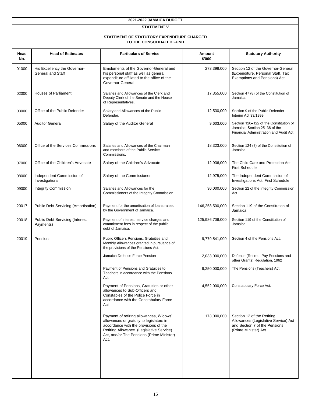| 2021-2022 JAMAICA BUDGET |                                                                        |                                                                                                                                                                                                                               |                  |                                                                                                                              |  |  |
|--------------------------|------------------------------------------------------------------------|-------------------------------------------------------------------------------------------------------------------------------------------------------------------------------------------------------------------------------|------------------|------------------------------------------------------------------------------------------------------------------------------|--|--|
| <b>STATEMENT V</b>       |                                                                        |                                                                                                                                                                                                                               |                  |                                                                                                                              |  |  |
|                          | STATEMENT OF STATUTORY EXPENDITURE CHARGED<br>TO THE CONSOLIDATED FUND |                                                                                                                                                                                                                               |                  |                                                                                                                              |  |  |
| Head<br>No.              | <b>Head of Estimates</b>                                               | <b>Particulars of Service</b>                                                                                                                                                                                                 | Amount<br>\$'000 | <b>Statutory Authority</b>                                                                                                   |  |  |
| 01000                    | His Excellency the Governor-<br><b>General and Staff</b>               | Emoluments of the Governor-General and<br>his personal staff as well as general<br>expenditure affiliated to the office of the<br>Governor-General                                                                            | 273,398,000      | Section 12 of the Governor-General<br>(Expenditure, Personal Staff, Tax<br>Exemptions and Pensions) Act.                     |  |  |
| 02000                    | <b>Houses of Parliament</b>                                            | Salaries and Allowances of the Clerk and<br>Deputy Clerk of the Senate and the House<br>of Representatives.                                                                                                                   | 17,355,000       | Section 47 (8) of the Constitution of<br>Jamaica.                                                                            |  |  |
| 03000                    | Office of the Public Defender                                          | Salary and Allowances of the Public<br>Defender.                                                                                                                                                                              | 12,530,000       | Section 9 of the Public Defender<br>Interim Act 33/1999                                                                      |  |  |
| 05000                    | <b>Auditor General</b>                                                 | Salary of the Auditor General                                                                                                                                                                                                 | 9,603,000        | Section 120-122 of the Constitution of<br>Jamaica; Section 25-36 of the<br>Financial Administration and Audit Act.           |  |  |
| 06000                    | Office of the Services Commissions                                     | Salaries and Allowances of the Chairman<br>and members of the Public Service<br>Commissions.                                                                                                                                  | 18,323,000       | Section 124 (8) of the Constitution of<br>Jamaica.                                                                           |  |  |
| 07000                    | Office of the Children's Advocate                                      | Salary of the Children's Advocate                                                                                                                                                                                             | 12,936,000       | The Child Care and Protection Act,<br><b>First Schedule</b>                                                                  |  |  |
| 08000                    | Independent Commission of<br>Investigations                            | Salary of the Commissioner                                                                                                                                                                                                    | 12,975,000       | The Independent Commission of<br>Investigations Act, First Schedule                                                          |  |  |
| 09000                    | <b>Integrity Commission</b>                                            | Salaries and Allowances for the<br>Commissioners of the Integrity Commission                                                                                                                                                  | 30,000,000       | Section 22 of the Integrity Commission<br>Act                                                                                |  |  |
| 20017                    | Public Debt Servicing (Amortisation)                                   | Payment for the amortisation of loans raised<br>by the Government of Jamaica.                                                                                                                                                 | 146,258,500,000  | Section 119 of the Constitution of<br>Jamaica                                                                                |  |  |
| 20018                    | Public Debt Servicing (Interest<br>Payments)                           | Payment of interest, service charges and<br>commitment fees in respect of the public<br>debt of Jamaica.                                                                                                                      | 125,986,706,000  | Section 119 of the Constitution of<br>Jamaica.                                                                               |  |  |
| 20019                    | Pensions                                                               | Public Officers Pensions, Gratuities and<br>Monthly Allowances granted in pursuance of<br>the provisions of the Pensions Act.                                                                                                 | 9,779,541,000    | Section 4 of the Pensions Act.                                                                                               |  |  |
|                          |                                                                        | Jamaica Defence Force Pension                                                                                                                                                                                                 | 2,033,000,000    | Defence (Retired, Pay Pensions and<br>other Grants) Regulation, 1962                                                         |  |  |
|                          |                                                                        | Payment of Pensions and Gratuities to<br>Teachers in accordance with the Pensions<br>Act                                                                                                                                      | 9,250,000,000    | The Pensions (Teachers) Act.                                                                                                 |  |  |
|                          |                                                                        | Payment of Pensions, Gratuities or other<br>allowances to Sub-Officers and<br>Constables of the Police Force in<br>accordance with the Constabulary Force<br>Act                                                              | 4,552,000,000    | Constabulary Force Act.                                                                                                      |  |  |
|                          |                                                                        | Payment of retiring allowances, Widows'<br>allowances or gratuity to legislators in<br>accordance with the provisions of the<br>Retiring Allowance (Legislative Service)<br>Act, and/or The Pensions (Prime Minister)<br>Act. | 173,000,000      | Section 12 of the Retiring<br>Allowances (Legislative Service) Act<br>and Section 7 of the Pensions<br>(Prime Minister) Act. |  |  |
|                          |                                                                        |                                                                                                                                                                                                                               |                  |                                                                                                                              |  |  |